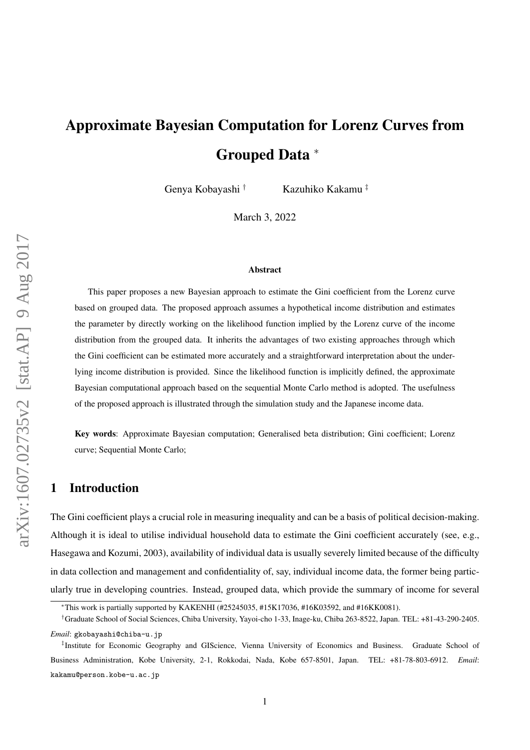# Approximate Bayesian Computation for Lorenz Curves from Grouped Data <sup>∗</sup>

Genya Kobayashi † Kazuhiko Kakamu ‡

March 3, 2022

#### Abstract

This paper proposes a new Bayesian approach to estimate the Gini coefficient from the Lorenz curve based on grouped data. The proposed approach assumes a hypothetical income distribution and estimates the parameter by directly working on the likelihood function implied by the Lorenz curve of the income distribution from the grouped data. It inherits the advantages of two existing approaches through which the Gini coefficient can be estimated more accurately and a straightforward interpretation about the underlying income distribution is provided. Since the likelihood function is implicitly defined, the approximate Bayesian computational approach based on the sequential Monte Carlo method is adopted. The usefulness of the proposed approach is illustrated through the simulation study and the Japanese income data.

Key words: Approximate Bayesian computation; Generalised beta distribution; Gini coefficient; Lorenz curve; Sequential Monte Carlo;

## 1 Introduction

The Gini coefficient plays a crucial role in measuring inequality and can be a basis of political decision-making. Although it is ideal to utilise individual household data to estimate the Gini coefficient accurately (see, e.g., Hasegawa and Kozumi, 2003), availability of individual data is usually severely limited because of the difficulty in data collection and management and confidentiality of, say, individual income data, the former being particularly true in developing countries. Instead, grouped data, which provide the summary of income for several

<sup>∗</sup>This work is partially supported by KAKENHI (#25245035, #15K17036, #16K03592, and #16KK0081).

<sup>†</sup>Graduate School of Social Sciences, Chiba University, Yayoi-cho 1-33, Inage-ku, Chiba 263-8522, Japan. TEL: +81-43-290-2405. *Email*: gkobayashi@chiba-u.jp

<sup>‡</sup> Institute for Economic Geography and GIScience, Vienna University of Economics and Business. Graduate School of Business Administration, Kobe University, 2-1, Rokkodai, Nada, Kobe 657-8501, Japan. TEL: +81-78-803-6912. *Email*: kakamu@person.kobe-u.ac.jp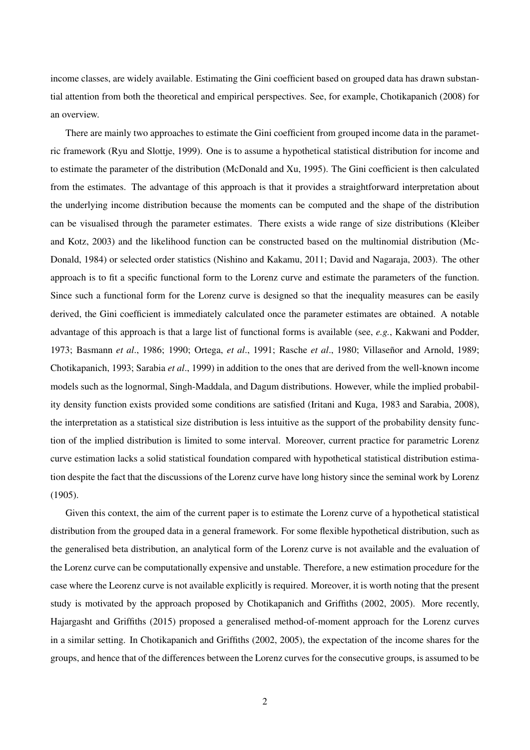income classes, are widely available. Estimating the Gini coefficient based on grouped data has drawn substantial attention from both the theoretical and empirical perspectives. See, for example, Chotikapanich (2008) for an overview.

There are mainly two approaches to estimate the Gini coefficient from grouped income data in the parametric framework (Ryu and Slottje, 1999). One is to assume a hypothetical statistical distribution for income and to estimate the parameter of the distribution (McDonald and Xu, 1995). The Gini coefficient is then calculated from the estimates. The advantage of this approach is that it provides a straightforward interpretation about the underlying income distribution because the moments can be computed and the shape of the distribution can be visualised through the parameter estimates. There exists a wide range of size distributions (Kleiber and Kotz, 2003) and the likelihood function can be constructed based on the multinomial distribution (Mc-Donald, 1984) or selected order statistics (Nishino and Kakamu, 2011; David and Nagaraja, 2003). The other approach is to fit a specific functional form to the Lorenz curve and estimate the parameters of the function. Since such a functional form for the Lorenz curve is designed so that the inequality measures can be easily derived, the Gini coefficient is immediately calculated once the parameter estimates are obtained. A notable advantage of this approach is that a large list of functional forms is available (see, *e.g.*, Kakwani and Podder, 1973; Basmann *et al.*, 1986; 1990; Ortega, *et al.*, 1991; Rasche *et al.*, 1980; Villaseñor and Arnold, 1989; Chotikapanich, 1993; Sarabia *et al*., 1999) in addition to the ones that are derived from the well-known income models such as the lognormal, Singh-Maddala, and Dagum distributions. However, while the implied probability density function exists provided some conditions are satisfied (Iritani and Kuga, 1983 and Sarabia, 2008), the interpretation as a statistical size distribution is less intuitive as the support of the probability density function of the implied distribution is limited to some interval. Moreover, current practice for parametric Lorenz curve estimation lacks a solid statistical foundation compared with hypothetical statistical distribution estimation despite the fact that the discussions of the Lorenz curve have long history since the seminal work by Lorenz (1905).

Given this context, the aim of the current paper is to estimate the Lorenz curve of a hypothetical statistical distribution from the grouped data in a general framework. For some flexible hypothetical distribution, such as the generalised beta distribution, an analytical form of the Lorenz curve is not available and the evaluation of the Lorenz curve can be computationally expensive and unstable. Therefore, a new estimation procedure for the case where the Leorenz curve is not available explicitly is required. Moreover, it is worth noting that the present study is motivated by the approach proposed by Chotikapanich and Griffiths (2002, 2005). More recently, Hajargasht and Griffiths (2015) proposed a generalised method-of-moment approach for the Lorenz curves in a similar setting. In Chotikapanich and Griffiths (2002, 2005), the expectation of the income shares for the groups, and hence that of the differences between the Lorenz curves for the consecutive groups, is assumed to be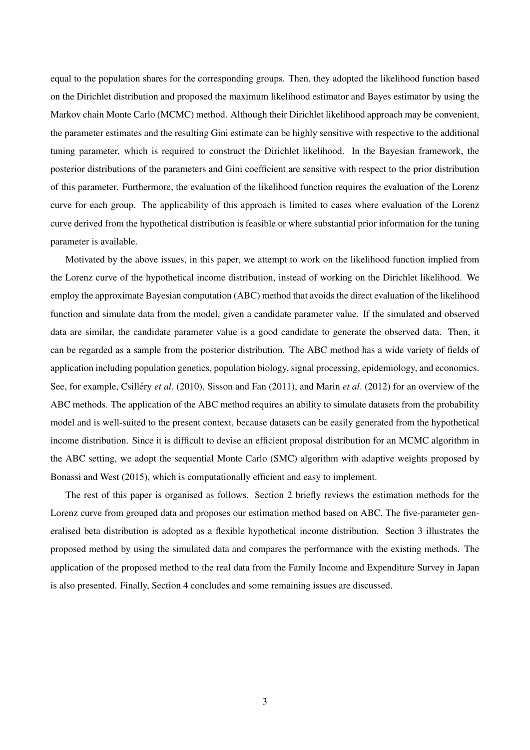equal to the population shares for the corresponding groups. Then, they adopted the likelihood function based on the Dirichlet distribution and proposed the maximum likelihood estimator and Bayes estimator by using the Markov chain Monte Carlo (MCMC) method. Although their Dirichlet likelihood approach may be convenient, the parameter estimates and the resulting Gini estimate can be highly sensitive with respective to the additional tuning parameter, which is required to construct the Dirichlet likelihood. In the Bayesian framework, the posterior distributions of the parameters and Gini coefficient are sensitive with respect to the prior distribution of this parameter. Furthermore, the evaluation of the likelihood function requires the evaluation of the Lorenz curve for each group. The applicability of this approach is limited to cases where evaluation of the Lorenz curve derived from the hypothetical distribution is feasible or where substantial prior information for the tuning parameter is available.

Motivated by the above issues, in this paper, we attempt to work on the likelihood function implied from the Lorenz curve of the hypothetical income distribution, instead of working on the Dirichlet likelihood. We employ the approximate Bayesian computation (ABC) method that avoids the direct evaluation of the likelihood function and simulate data from the model, given a candidate parameter value. If the simulated and observed data are similar, the candidate parameter value is a good candidate to generate the observed data. Then, it can be regarded as a sample from the posterior distribution. The ABC method has a wide variety of fields of application including population genetics, population biology, signal processing, epidemiology, and economics. See, for example, Csilléry *et al.* (2010), Sisson and Fan (2011), and Marin *et al.* (2012) for an overview of the ABC methods. The application of the ABC method requires an ability to simulate datasets from the probability model and is well-suited to the present context, because datasets can be easily generated from the hypothetical income distribution. Since it is difficult to devise an efficient proposal distribution for an MCMC algorithm in the ABC setting, we adopt the sequential Monte Carlo (SMC) algorithm with adaptive weights proposed by Bonassi and West (2015), which is computationally efficient and easy to implement.

The rest of this paper is organised as follows. Section 2 briefly reviews the estimation methods for the Lorenz curve from grouped data and proposes our estimation method based on ABC. The five-parameter generalised beta distribution is adopted as a flexible hypothetical income distribution. Section 3 illustrates the proposed method by using the simulated data and compares the performance with the existing methods. The application of the proposed method to the real data from the Family Income and Expenditure Survey in Japan is also presented. Finally, Section 4 concludes and some remaining issues are discussed.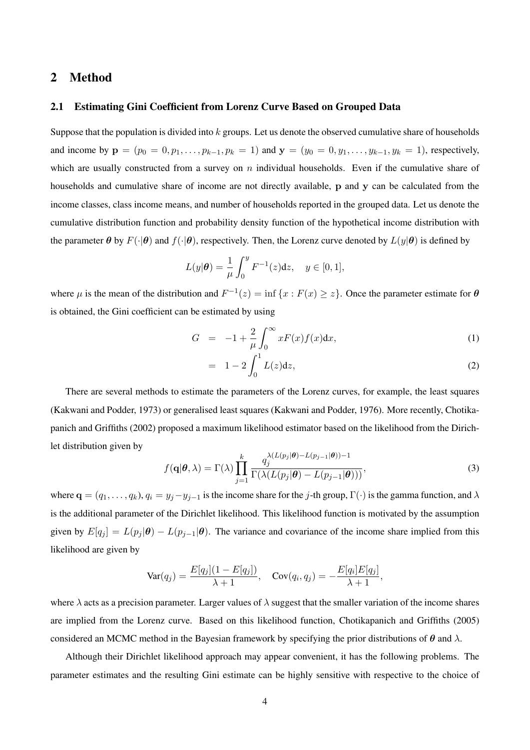## 2 Method

#### 2.1 Estimating Gini Coefficient from Lorenz Curve Based on Grouped Data

Suppose that the population is divided into  $k$  groups. Let us denote the observed cumulative share of households and income by  $\mathbf{p} = (p_0 = 0, p_1, \dots, p_{k-1}, p_k = 1)$  and  $\mathbf{y} = (y_0 = 0, y_1, \dots, y_{k-1}, y_k = 1)$ , respectively, which are usually constructed from a survey on  $n$  individual households. Even if the cumulative share of households and cumulative share of income are not directly available, p and y can be calculated from the income classes, class income means, and number of households reported in the grouped data. Let us denote the cumulative distribution function and probability density function of the hypothetical income distribution with the parameter  $\theta$  by  $F(\cdot|\theta)$  and  $f(\cdot|\theta)$ , respectively. Then, the Lorenz curve denoted by  $L(y|\theta)$  is defined by

$$
L(y|\theta) = \frac{1}{\mu} \int_0^y F^{-1}(z) dz, \quad y \in [0, 1],
$$

where  $\mu$  is the mean of the distribution and  $F^{-1}(z) = \inf \{x : F(x) \ge z\}$ . Once the parameter estimate for  $\theta$ is obtained, the Gini coefficient can be estimated by using

$$
G = -1 + \frac{2}{\mu} \int_0^\infty x F(x) f(x) dx,
$$
 (1)

$$
= 1 - 2 \int_0^1 L(z) dz,
$$
 (2)

There are several methods to estimate the parameters of the Lorenz curves, for example, the least squares (Kakwani and Podder, 1973) or generalised least squares (Kakwani and Podder, 1976). More recently, Chotikapanich and Griffiths (2002) proposed a maximum likelihood estimator based on the likelihood from the Dirichlet distribution given by

$$
f(\mathbf{q}|\boldsymbol{\theta},\lambda) = \Gamma(\lambda) \prod_{j=1}^{k} \frac{q_j^{\lambda(L(p_j|\boldsymbol{\theta}) - L(p_{j-1}|\boldsymbol{\theta})) - 1}}{\Gamma(\lambda(L(p_j|\boldsymbol{\theta}) - L(p_{j-1}|\boldsymbol{\theta})))},
$$
\n(3)

where  $\mathbf{q} = (q_1, \ldots, q_k)$ ,  $q_i = y_j - y_{j-1}$  is the income share for the j-th group,  $\Gamma(\cdot)$  is the gamma function, and  $\lambda$ is the additional parameter of the Dirichlet likelihood. This likelihood function is motivated by the assumption given by  $E[q_j] = L(p_j | \theta) - L(p_{j-1} | \theta)$ . The variance and covariance of the income share implied from this likelihood are given by

$$
\text{Var}(q_j) = \frac{E[q_j](1 - E[q_j])}{\lambda + 1}, \quad \text{Cov}(q_i, q_j) = -\frac{E[q_i]E[q_j]}{\lambda + 1},
$$

where  $\lambda$  acts as a precision parameter. Larger values of  $\lambda$  suggest that the smaller variation of the income shares are implied from the Lorenz curve. Based on this likelihood function, Chotikapanich and Griffiths (2005) considered an MCMC method in the Bayesian framework by specifying the prior distributions of  $\theta$  and  $\lambda$ .

Although their Dirichlet likelihood approach may appear convenient, it has the following problems. The parameter estimates and the resulting Gini estimate can be highly sensitive with respective to the choice of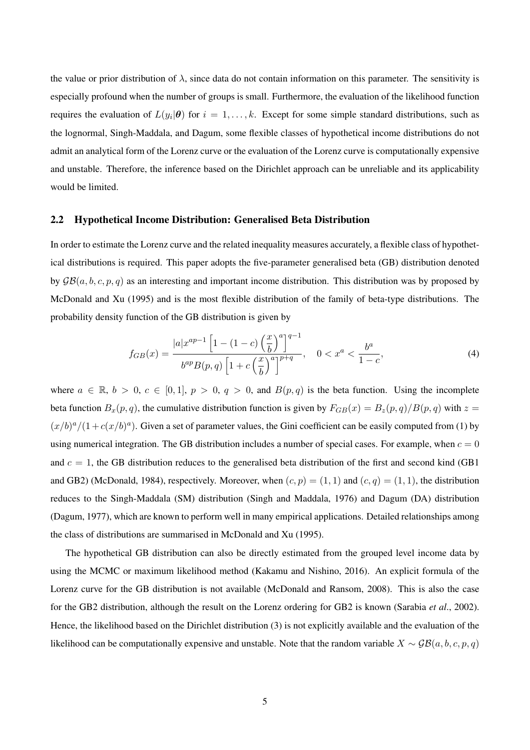the value or prior distribution of  $\lambda$ , since data do not contain information on this parameter. The sensitivity is especially profound when the number of groups is small. Furthermore, the evaluation of the likelihood function requires the evaluation of  $L(y_i|\theta)$  for  $i = 1, ..., k$ . Except for some simple standard distributions, such as the lognormal, Singh-Maddala, and Dagum, some flexible classes of hypothetical income distributions do not admit an analytical form of the Lorenz curve or the evaluation of the Lorenz curve is computationally expensive and unstable. Therefore, the inference based on the Dirichlet approach can be unreliable and its applicability would be limited.

#### 2.2 Hypothetical Income Distribution: Generalised Beta Distribution

In order to estimate the Lorenz curve and the related inequality measures accurately, a flexible class of hypothetical distributions is required. This paper adopts the five-parameter generalised beta (GB) distribution denoted by  $\mathcal{GB}(a, b, c, p, q)$  as an interesting and important income distribution. This distribution was by proposed by McDonald and Xu (1995) and is the most flexible distribution of the family of beta-type distributions. The probability density function of the GB distribution is given by

$$
f_{GB}(x) = \frac{|a|x^{ap-1}\left[1 - (1 - c)\left(\frac{x}{b}\right)^a\right]^{q-1}}{b^{ap}B(p,q)\left[1 + c\left(\frac{x}{b}\right)^a\right]^{p+q}}, \quad 0 < x^a < \frac{b^a}{1 - c},\tag{4}
$$

where  $a \in \mathbb{R}$ ,  $b > 0$ ,  $c \in [0, 1]$ ,  $p > 0$ ,  $q > 0$ , and  $B(p, q)$  is the beta function. Using the incomplete beta function  $B_x(p,q)$ , the cumulative distribution function is given by  $F_{GB}(x) = B_z(p,q)/B(p,q)$  with  $z =$  $(x/b)^a/(1+c(x/b)^a)$ . Given a set of parameter values, the Gini coefficient can be easily computed from (1) by using numerical integration. The GB distribution includes a number of special cases. For example, when  $c = 0$ and  $c = 1$ , the GB distribution reduces to the generalised beta distribution of the first and second kind (GB1) and GB2) (McDonald, 1984), respectively. Moreover, when  $(c, p) = (1, 1)$  and  $(c, q) = (1, 1)$ , the distribution reduces to the Singh-Maddala (SM) distribution (Singh and Maddala, 1976) and Dagum (DA) distribution (Dagum, 1977), which are known to perform well in many empirical applications. Detailed relationships among the class of distributions are summarised in McDonald and Xu (1995).

The hypothetical GB distribution can also be directly estimated from the grouped level income data by using the MCMC or maximum likelihood method (Kakamu and Nishino, 2016). An explicit formula of the Lorenz curve for the GB distribution is not available (McDonald and Ransom, 2008). This is also the case for the GB2 distribution, although the result on the Lorenz ordering for GB2 is known (Sarabia *et al*., 2002). Hence, the likelihood based on the Dirichlet distribution (3) is not explicitly available and the evaluation of the likelihood can be computationally expensive and unstable. Note that the random variable  $X \sim GB(a, b, c, p, q)$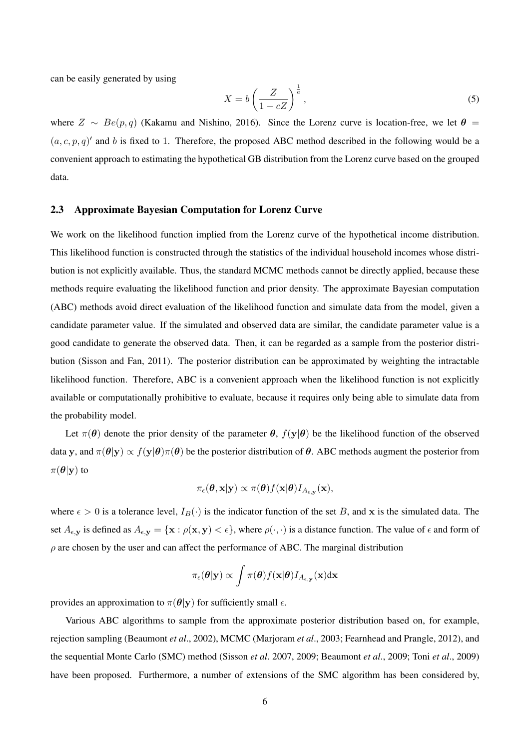can be easily generated by using

$$
X = b \left(\frac{Z}{1 - cZ}\right)^{\frac{1}{a}},\tag{5}
$$

where  $Z \sim Be(p, q)$  (Kakamu and Nishino, 2016). Since the Lorenz curve is location-free, we let  $\theta =$  $(a, c, p, q)$ ' and b is fixed to 1. Therefore, the proposed ABC method described in the following would be a convenient approach to estimating the hypothetical GB distribution from the Lorenz curve based on the grouped data.

### 2.3 Approximate Bayesian Computation for Lorenz Curve

We work on the likelihood function implied from the Lorenz curve of the hypothetical income distribution. This likelihood function is constructed through the statistics of the individual household incomes whose distribution is not explicitly available. Thus, the standard MCMC methods cannot be directly applied, because these methods require evaluating the likelihood function and prior density. The approximate Bayesian computation (ABC) methods avoid direct evaluation of the likelihood function and simulate data from the model, given a candidate parameter value. If the simulated and observed data are similar, the candidate parameter value is a good candidate to generate the observed data. Then, it can be regarded as a sample from the posterior distribution (Sisson and Fan, 2011). The posterior distribution can be approximated by weighting the intractable likelihood function. Therefore, ABC is a convenient approach when the likelihood function is not explicitly available or computationally prohibitive to evaluate, because it requires only being able to simulate data from the probability model.

Let  $\pi(\theta)$  denote the prior density of the parameter  $\theta$ ,  $f(y|\theta)$  be the likelihood function of the observed data y, and  $\pi(\theta|\mathbf{y}) \propto f(\mathbf{y}|\theta)\pi(\theta)$  be the posterior distribution of  $\theta$ . ABC methods augment the posterior from  $\pi(\boldsymbol{\theta}|\mathbf{y})$  to

$$
\pi_{\epsilon}(\boldsymbol{\theta}, \mathbf{x} | \mathbf{y}) \propto \pi(\boldsymbol{\theta}) f(\mathbf{x} | \boldsymbol{\theta}) I_{A_{\epsilon, \mathbf{y}}}(\mathbf{x}),
$$

where  $\epsilon > 0$  is a tolerance level,  $I_B(\cdot)$  is the indicator function of the set B, and x is the simulated data. The set  $A_{\epsilon, y}$  is defined as  $A_{\epsilon, y} = {\mathbf{x} : \rho(\mathbf{x}, \mathbf{y}) < \epsilon}$ , where  $\rho(\cdot, \cdot)$  is a distance function. The value of  $\epsilon$  and form of  $\rho$  are chosen by the user and can affect the performance of ABC. The marginal distribution

$$
\pi_{\epsilon}(\boldsymbol{\theta}|\mathbf{y}) \propto \int \pi(\boldsymbol{\theta}) f(\mathbf{x}|\boldsymbol{\theta}) I_{A_{\epsilon,\mathbf{y}}}(\mathbf{x}) \mathrm{d}\mathbf{x}
$$

provides an approximation to  $\pi(\theta|\mathbf{y})$  for sufficiently small  $\epsilon$ .

Various ABC algorithms to sample from the approximate posterior distribution based on, for example, rejection sampling (Beaumont *et al*., 2002), MCMC (Marjoram *et al*., 2003; Fearnhead and Prangle, 2012), and the sequential Monte Carlo (SMC) method (Sisson *et al*. 2007, 2009; Beaumont *et al*., 2009; Toni *et al*., 2009) have been proposed. Furthermore, a number of extensions of the SMC algorithm has been considered by,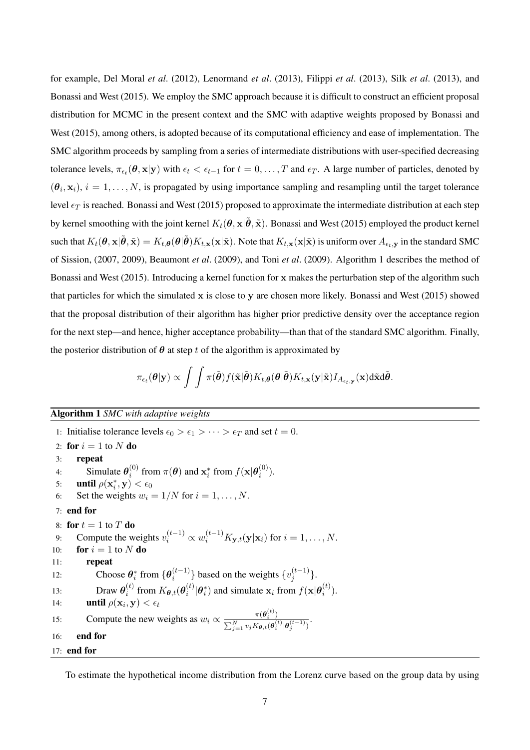for example, Del Moral *et al*. (2012), Lenormand *et al*. (2013), Filippi *et al*. (2013), Silk *et al*. (2013), and Bonassi and West (2015). We employ the SMC approach because it is difficult to construct an efficient proposal distribution for MCMC in the present context and the SMC with adaptive weights proposed by Bonassi and West (2015), among others, is adopted because of its computational efficiency and ease of implementation. The SMC algorithm proceeds by sampling from a series of intermediate distributions with user-specified decreasing tolerance levels,  $\pi_{\epsilon_t}(\theta, \mathbf{x} | \mathbf{y})$  with  $\epsilon_t < \epsilon_{t-1}$  for  $t = 0, \dots, T$  and  $\epsilon_T$ . A large number of particles, denoted by  $(\theta_i, \mathbf{x}_i)$ ,  $i = 1, \dots, N$ , is propagated by using importance sampling and resampling until the target tolerance level  $\epsilon_T$  is reached. Bonassi and West (2015) proposed to approximate the intermediate distribution at each step by kernel smoothing with the joint kernel  $K_t(\theta, \mathbf{x}|\tilde{\theta}, \tilde{\mathbf{x}})$ . Bonassi and West (2015) employed the product kernel such that  $K_t(\theta, \mathbf{x}|\tilde{\theta}, \tilde{\mathbf{x}}) = K_{t,\theta}(\theta|\tilde{\theta})K_{t,\mathbf{x}}(\mathbf{x}|\tilde{\mathbf{x}})$ . Note that  $K_{t,\mathbf{x}}(\mathbf{x}|\tilde{\mathbf{x}})$  is uniform over  $A_{\epsilon_t,\mathbf{y}}$  in the standard SMC of Sission, (2007, 2009), Beaumont *et al*. (2009), and Toni *et al*. (2009). Algorithm 1 describes the method of Bonassi and West (2015). Introducing a kernel function for x makes the perturbation step of the algorithm such that particles for which the simulated x is close to y are chosen more likely. Bonassi and West  $(2015)$  showed that the proposal distribution of their algorithm has higher prior predictive density over the acceptance region for the next step—and hence, higher acceptance probability—than that of the standard SMC algorithm. Finally, the posterior distribution of  $\theta$  at step t of the algorithm is approximated by

$$
\pi_{\epsilon_t}(\theta|\mathbf{y}) \propto \int \int \pi(\tilde{\boldsymbol{\theta}}) f(\tilde{\mathbf{x}}|\tilde{\boldsymbol{\theta}}) K_{t,\boldsymbol{\theta}}(\boldsymbol{\theta}|\tilde{\boldsymbol{\theta}}) K_{t,\mathbf{x}}(\mathbf{y}|\tilde{\mathbf{x}}) I_{A_{\epsilon_t,\mathbf{y}}}(\mathbf{x}) \mathrm{d}\tilde{\mathbf{x}} \mathrm{d}\tilde{\boldsymbol{\theta}}.
$$

## Algorithm 1 *SMC with adaptive weights*

1: Initialise tolerance levels  $\epsilon_0 > \epsilon_1 > \cdots > \epsilon_T$  and set  $t = 0$ . 2: for  $i = 1$  to N do 3: repeat 4: Simulate  $\theta_i^{(0)}$  $\mathbf{f}_{i}^{(0)}$  from  $\pi(\boldsymbol{\theta})$  and  $\mathbf{x}_{i}^{*}$  from  $f(\mathbf{x}|\boldsymbol{\theta}_{i}^{(0)})$  $\binom{0}{i}$ . 5: **until**  $\rho(\mathbf{x}_i^*, \mathbf{y}) < \epsilon_0$ 6: Set the weights  $w_i = 1/N$  for  $i = 1, ..., N$ . 7: end for 8: for  $t = 1$  to T do 9: Compute the weights  $v_i^{(t-1)} \propto w_i^{(t-1)} K_{\mathbf{y},t}(\mathbf{y}|\mathbf{x}_i)$  for  $i = 1, ..., N$ . 10: **for**  $i = 1$  to N **do** 11: repeat 12: Choose  $\theta_i^*$  from  $\{\theta_i^{(t-1)}\}$  $\{v_i^{(t-1)}\}$  based on the weights  $\{v_j^{(t-1)}\}$  $\binom{(t-1)}{j}$ . 13: Draw  $\boldsymbol{\theta}_i^{(t)}$  $\boldsymbol{h}_i^{(t)}$  from  $K_{\boldsymbol{\theta},t}(\boldsymbol{\theta}_i^{(t)})$  $\hat{g}_i^{(t)} | \theta_i^*$  and simulate  $\mathbf{x}_i$  from  $f(\mathbf{x} | \theta_i^{(t)})$  $\binom{(\iota)}{i}$ . 14: **until**  $\rho(\mathbf{x}_i, \mathbf{y}) < \epsilon_t$ 15: Compute the new weights as  $w_i \propto \frac{\pi(\theta_i^{(t)})}{\sum_{i=1}^{N} w_i^{(t)}}$  $\frac{\kappa(\bm{b}_i)}{\sum_{j=1}^N v_j K_{\bm{\theta},t}(\bm{\theta}_i^{(t)}|\bm{\theta}_j^{(t-1)})}.$ 16: end for 17: end for

To estimate the hypothetical income distribution from the Lorenz curve based on the group data by using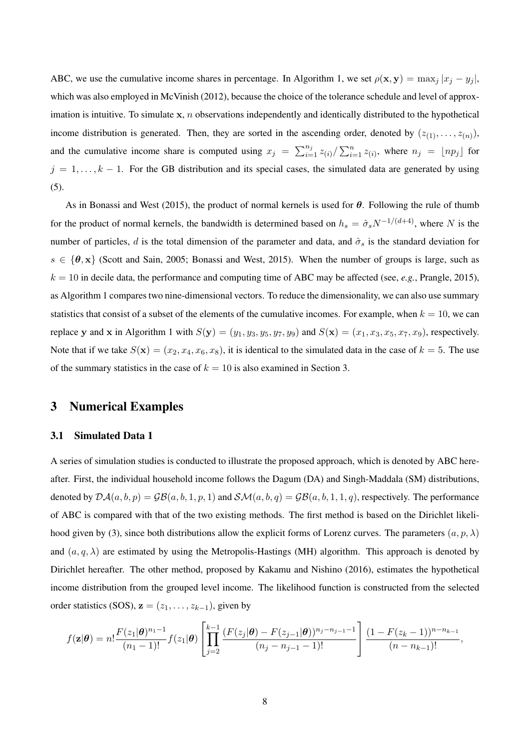ABC, we use the cumulative income shares in percentage. In Algorithm 1, we set  $\rho(\mathbf{x}, \mathbf{y}) = \max_j |x_j - y_j|$ , which was also employed in McVinish (2012), because the choice of the tolerance schedule and level of approximation is intuitive. To simulate  $x$ , n observations independently and identically distributed to the hypothetical income distribution is generated. Then, they are sorted in the ascending order, denoted by  $(z_{(1)},...,z_{(n)})$ , and the cumulative income share is computed using  $x_j = \sum_{i=1}^{n_j} z_{(i)} / \sum_{i=1}^{n} z_{(i)}$ , where  $n_j = \lfloor np_j \rfloor$  for  $j = 1, \ldots, k - 1$ . For the GB distribution and its special cases, the simulated data are generated by using (5).

As in Bonassi and West (2015), the product of normal kernels is used for  $\theta$ . Following the rule of thumb for the product of normal kernels, the bandwidth is determined based on  $h_s = \hat{\sigma}_s N^{-1/(d+4)}$ , where N is the number of particles, d is the total dimension of the parameter and data, and  $\hat{\sigma}_s$  is the standard deviation for  $s \in {\theta, \mathbf{x}}$  (Scott and Sain, 2005; Bonassi and West, 2015). When the number of groups is large, such as  $k = 10$  in decile data, the performance and computing time of ABC may be affected (see, *e.g.*, Prangle, 2015), as Algorithm 1 compares two nine-dimensional vectors. To reduce the dimensionality, we can also use summary statistics that consist of a subset of the elements of the cumulative incomes. For example, when  $k = 10$ , we can replace y and x in Algorithm 1 with  $S(y) = (y_1, y_3, y_5, y_7, y_9)$  and  $S(x) = (x_1, x_3, x_5, x_7, x_9)$ , respectively. Note that if we take  $S(x) = (x_2, x_4, x_6, x_8)$ , it is identical to the simulated data in the case of  $k = 5$ . The use of the summary statistics in the case of  $k = 10$  is also examined in Section 3.

# 3 Numerical Examples

### 3.1 Simulated Data 1

A series of simulation studies is conducted to illustrate the proposed approach, which is denoted by ABC hereafter. First, the individual household income follows the Dagum (DA) and Singh-Maddala (SM) distributions, denoted by  $\mathcal{DA}(a, b, p) = \mathcal{GB}(a, b, 1, p, 1)$  and  $\mathcal{SM}(a, b, q) = \mathcal{GB}(a, b, 1, 1, q)$ , respectively. The performance of ABC is compared with that of the two existing methods. The first method is based on the Dirichlet likelihood given by (3), since both distributions allow the explicit forms of Lorenz curves. The parameters  $(a, p, \lambda)$ and  $(a, q, \lambda)$  are estimated by using the Metropolis-Hastings (MH) algorithm. This approach is denoted by Dirichlet hereafter. The other method, proposed by Kakamu and Nishino (2016), estimates the hypothetical income distribution from the grouped level income. The likelihood function is constructed from the selected order statistics (SOS),  $z = (z_1, \ldots, z_{k-1})$ , given by

$$
f(\mathbf{z}|\boldsymbol{\theta}) = n! \frac{F(z_1|\boldsymbol{\theta})^{n_1-1}}{(n_1-1)!} f(z_1|\boldsymbol{\theta}) \left[ \prod_{j=2}^{k-1} \frac{(F(z_j|\boldsymbol{\theta}) - F(z_{j-1}|\boldsymbol{\theta}))^{n_j-n_{j-1}-1}}{(n_j-n_{j-1}-1)!} \right] \frac{(1-F(z_k-1))^{n-n_{k-1}}}{(n-n_{k-1})!},
$$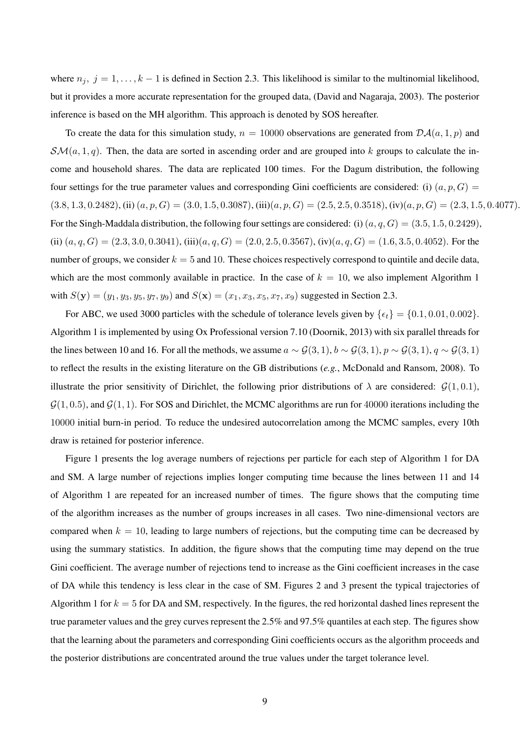where  $n_j$ ,  $j = 1, \ldots, k - 1$  is defined in Section 2.3. This likelihood is similar to the multinomial likelihood, but it provides a more accurate representation for the grouped data, (David and Nagaraja, 2003). The posterior inference is based on the MH algorithm. This approach is denoted by SOS hereafter.

To create the data for this simulation study,  $n = 10000$  observations are generated from  $\mathcal{DA}(a, 1, p)$  and  $\mathcal{SM}(a, 1, q)$ . Then, the data are sorted in ascending order and are grouped into k groups to calculate the income and household shares. The data are replicated 100 times. For the Dagum distribution, the following four settings for the true parameter values and corresponding Gini coefficients are considered: (i)  $(a, p, G)$  =  $(3.8, 1.3, 0.2482), (ii) (a, p, G) = (3.0, 1.5, 0.3087), (iii) (a, p, G) = (2.5, 2.5, 0.3518), (iv) (a, p, G) = (2.3, 1.5, 0.4077).$ For the Singh-Maddala distribution, the following four settings are considered: (i)  $(a, q, G) = (3.5, 1.5, 0.2429)$ , (ii)  $(a, q, G) = (2.3, 3.0, 0.3041),$  (iii) $(a, q, G) = (2.0, 2.5, 0.3567),$  (iv) $(a, q, G) = (1.6, 3.5, 0.4052)$ . For the number of groups, we consider  $k = 5$  and 10. These choices respectively correspond to quintile and decile data, which are the most commonly available in practice. In the case of  $k = 10$ , we also implement Algorithm 1 with  $S(y) = (y_1, y_3, y_5, y_7, y_9)$  and  $S(x) = (x_1, x_3, x_5, x_7, x_9)$  suggested in Section 2.3.

For ABC, we used 3000 particles with the schedule of tolerance levels given by  $\{\epsilon_t\} = \{0.1, 0.01, 0.002\}$ . Algorithm 1 is implemented by using Ox Professional version 7.10 (Doornik, 2013) with six parallel threads for the lines between 10 and 16. For all the methods, we assume  $a \sim \mathcal{G}(3, 1), b \sim \mathcal{G}(3, 1), p \sim \mathcal{G}(3, 1), q \sim \mathcal{G}(3, 1)$ to reflect the results in the existing literature on the GB distributions (*e.g.*, McDonald and Ransom, 2008). To illustrate the prior sensitivity of Dirichlet, the following prior distributions of  $\lambda$  are considered:  $\mathcal{G}(1, 0.1)$ ,  $\mathcal{G}(1, 0.5)$ , and  $\mathcal{G}(1, 1)$ . For SOS and Dirichlet, the MCMC algorithms are run for 40000 iterations including the 10000 initial burn-in period. To reduce the undesired autocorrelation among the MCMC samples, every 10th draw is retained for posterior inference.

Figure 1 presents the log average numbers of rejections per particle for each step of Algorithm 1 for DA and SM. A large number of rejections implies longer computing time because the lines between 11 and 14 of Algorithm 1 are repeated for an increased number of times. The figure shows that the computing time of the algorithm increases as the number of groups increases in all cases. Two nine-dimensional vectors are compared when  $k = 10$ , leading to large numbers of rejections, but the computing time can be decreased by using the summary statistics. In addition, the figure shows that the computing time may depend on the true Gini coefficient. The average number of rejections tend to increase as the Gini coefficient increases in the case of DA while this tendency is less clear in the case of SM. Figures 2 and 3 present the typical trajectories of Algorithm 1 for  $k = 5$  for DA and SM, respectively. In the figures, the red horizontal dashed lines represent the true parameter values and the grey curves represent the 2.5% and 97.5% quantiles at each step. The figures show that the learning about the parameters and corresponding Gini coefficients occurs as the algorithm proceeds and the posterior distributions are concentrated around the true values under the target tolerance level.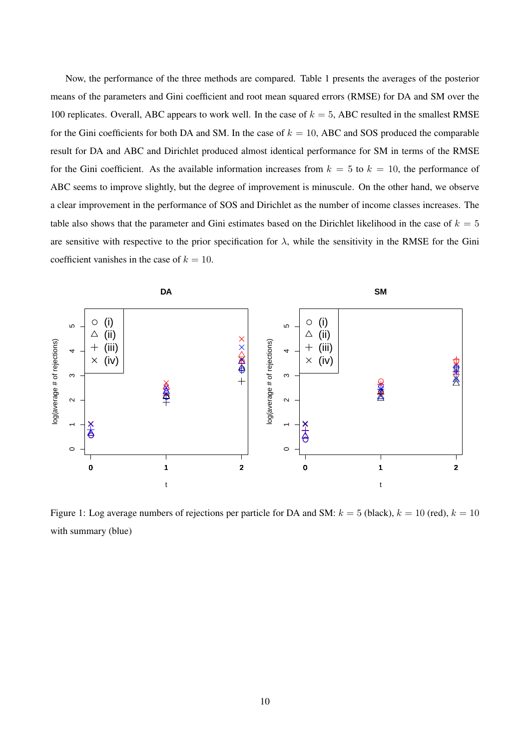Now, the performance of the three methods are compared. Table 1 presents the averages of the posterior means of the parameters and Gini coefficient and root mean squared errors (RMSE) for DA and SM over the 100 replicates. Overall, ABC appears to work well. In the case of  $k = 5$ , ABC resulted in the smallest RMSE for the Gini coefficients for both DA and SM. In the case of  $k = 10$ , ABC and SOS produced the comparable result for DA and ABC and Dirichlet produced almost identical performance for SM in terms of the RMSE for the Gini coefficient. As the available information increases from  $k = 5$  to  $k = 10$ , the performance of ABC seems to improve slightly, but the degree of improvement is minuscule. On the other hand, we observe a clear improvement in the performance of SOS and Dirichlet as the number of income classes increases. The table also shows that the parameter and Gini estimates based on the Dirichlet likelihood in the case of  $k = 5$ are sensitive with respective to the prior specification for  $\lambda$ , while the sensitivity in the RMSE for the Gini coefficient vanishes in the case of  $k = 10$ .



Figure 1: Log average numbers of rejections per particle for DA and SM:  $k = 5$  (black),  $k = 10$  (red),  $k = 10$ with summary (blue)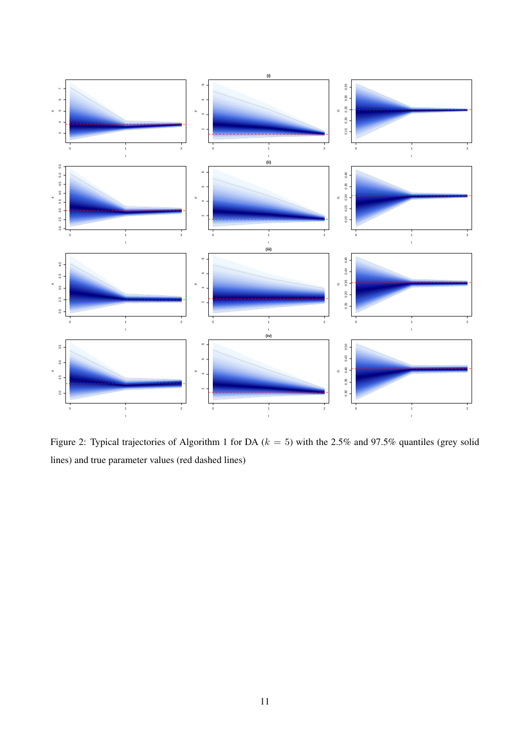

Figure 2: Typical trajectories of Algorithm 1 for DA ( $k = 5$ ) with the 2.5% and 97.5% quantiles (grey solid lines) and true parameter values (red dashed lines)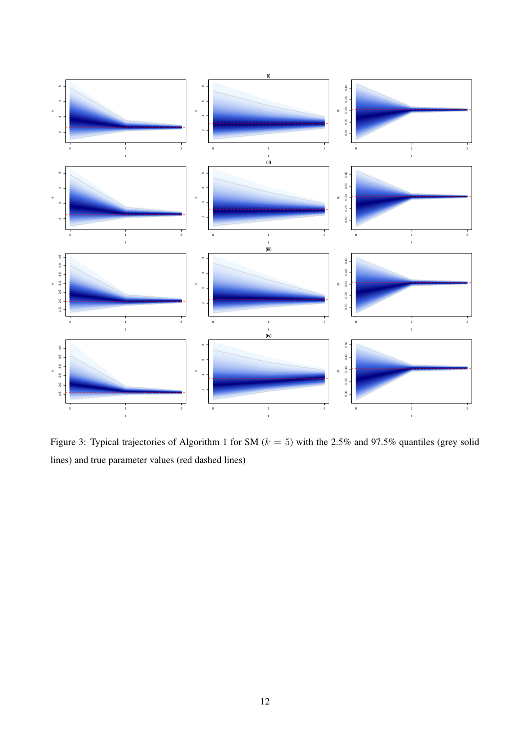

Figure 3: Typical trajectories of Algorithm 1 for SM ( $k = 5$ ) with the 2.5% and 97.5% quantiles (grey solid lines) and true parameter values (red dashed lines)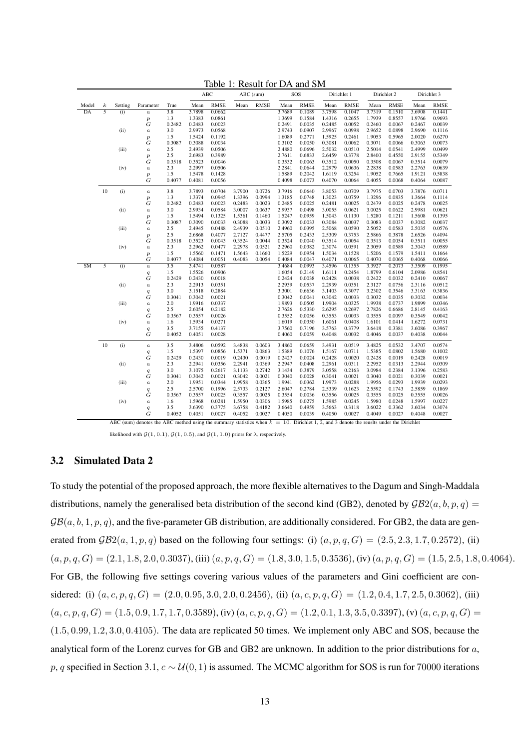|                 |                  |         |                                                                                                                                            |               |                  | ABC              |        | ABC (sum)   | SOS              |                  | Dirichlet 1      |                  | Dirichlet 2      |                  | Dirichlet 3      |                  |
|-----------------|------------------|---------|--------------------------------------------------------------------------------------------------------------------------------------------|---------------|------------------|------------------|--------|-------------|------------------|------------------|------------------|------------------|------------------|------------------|------------------|------------------|
| Model           | $\boldsymbol{k}$ | Setting | Parameter                                                                                                                                  | True          | Mean             | <b>RMSE</b>      | Mean   | <b>RMSE</b> | Mean             | <b>RMSE</b>      | Mean             | <b>RMSE</b>      | Mean             | <b>RMSE</b>      | Mean             | <b>RMSE</b>      |
| $\overline{DA}$ | $\overline{5}$   | (i)     | $\boldsymbol{a}$                                                                                                                           | 3.8           | 3.7898           | 0.0662           |        |             | 3.7689           | 0.1089           | 3.7598           | 0.1047           | 3.7319           | 0.1510           | 3.6908           | 0.1441           |
|                 |                  |         | $\boldsymbol{p}$                                                                                                                           | 1.3           | 1.3383           | 0.0861           |        |             | 1.3699           | 0.1584           | 1.4316           | 0.2655           | 1.7939           | 0.8557           | 1.9766           | 0.9693           |
|                 |                  |         | $\cal G$                                                                                                                                   | 0.2482        | 0.2483           | 0.0023           |        |             | 0.2491           | 0.0035           | 0.2485           | 0.0052           | 0.2460           | 0.0067           | 0.2467           | 0.0039           |
|                 |                  | (ii)    | $\boldsymbol{a}$                                                                                                                           | 3.0           | 2.9973           | 0.0568           |        |             | 2.9743           | 0.0907           | 2.9967           | 0.0998           | 2.9652           | 0.0898           | 2.9690           | 0.1116           |
|                 |                  |         | $\boldsymbol{p}$                                                                                                                           | 1.5           | 1.5424           | 0.1192           |        |             | 1.6089           | 0.2771           | 1.5925           | 0.2461           | 1.9053           | 0.5965           | 2.0020           | 0.6270           |
|                 |                  |         | G                                                                                                                                          | 0.3087        | 0.3088           | 0.0034           |        |             | 0.3102           | 0.0050           | 0.3081           | 0.0062           | 0.3071           | 0.0066           | 0.3063           | 0.0073           |
|                 |                  | (iii)   | $\boldsymbol{a}$                                                                                                                           | 2.5           | 2.4939           | 0.0506           |        |             | 2.4880           | 0.0696           | 2.5032           | 0.0510           | 2.5014           | 0.0541           | 2.4999           | 0.0499           |
|                 |                  |         | $\boldsymbol{p}$                                                                                                                           | 2.5           | 2.6983           | 0.3989           |        |             | 2.7611           | 0.6833           | 2.6459           | 0.3778           | 2.8400           | 0.4550           | 2.9155           | 0.5349           |
|                 |                  |         | G                                                                                                                                          | 0.3518        | 0.3523           | 0.0046           |        |             | 0.3532           | 0.0063           | 0.3512           | 0.0050           | 0.3508           | 0.0067           | 0.3514           | 0.0079           |
|                 |                  | (iv)    | $\boldsymbol{a}$                                                                                                                           | 2.3           | 2.2997           | 0.0506           |        |             | 2.2841           | 0.0644           | 2.2979           | 0.0636           | 2.2838           | 0.0583           | 2.2763           | 0.0639           |
|                 |                  |         | $\boldsymbol{p}$                                                                                                                           | 1.5           | 1.5478           | 0.1428           |        |             | 1.5889           | 0.2042           | 1.6119           | 0.3254           | 1.9052           | 0.7665           | 1.9121           | 0.5838           |
|                 |                  |         | G                                                                                                                                          | 0.4077        | 0.4081           | 0.0056           |        |             | 0.4098           | 0.0073           | 0.4070           | 0.0064           | 0.4055           | 0.0068           | 0.4064           | 0.0087           |
|                 | 10               | (i)     | $\boldsymbol{a}$                                                                                                                           | 3.8           | 3.7893           | 0.0704           | 3.7900 | 0.0726      | 3.7916           | 0.0640           | 3.8053           | 0.0709           | 3.7975           | 0.0703           | 3.7876           | 0.0711           |
|                 |                  |         | $\boldsymbol{p}$                                                                                                                           | 1.3           | 1.3374           | 0.0945           | 1.3396 | 0.0994      | 1.3185           | 0.0748           | 1.3023           | 0.0759           | 1.3296           | 0.0835           | 1.3664           | 0.1114           |
|                 |                  |         | $\overline{G}$                                                                                                                             | 0.2482        | 0.2483           | 0.0023           | 0.2483 | 0.0023      | 0.2485           | 0.0025           | 0.2481           | 0.0025           | 0.2479           | 0.0025           | 0.2478           | 0.0025           |
|                 |                  | (ii)    | $\boldsymbol{a}$                                                                                                                           | 3.0           | 2.9934           | 0.0584           | 3.0007 | 0.0637      | 2.9937           | 0.0498           | 3.0055           | 0.0621           | 3.0025           | 0.0622           | 2.9981           | 0.0621           |
|                 |                  |         | $\boldsymbol{p}$                                                                                                                           | 1.5           | 1.5494           | 0.1325           | 1.5361 | 0.1460      | 1.5247           | 0.0959           | 1.5043           | 0.1130           | 1.5280           | 0.1211           | 1.5608           | 0.1395           |
|                 |                  |         | G                                                                                                                                          | 0.3087        | 0.3090           | 0.0033           | 0.3088 | 0.0033      | 0.3092           | 0.0033           | 0.3084           | 0.0037           | 0.3083           | 0.0037           | 0.3082           | 0.0037           |
|                 |                  | (iii)   | $\boldsymbol{a}$                                                                                                                           | 2.5           | 2.4945           | 0.0488           | 2.4939 | 0.0510      | 2.4960           | 0.0395           | 2.5068           | 0.0590           | 2.5052           | 0.0583           | 2.5035           | 0.0576           |
|                 |                  |         | $\boldsymbol{p}$                                                                                                                           | 2.5           | 2.6868           | 0.4077           | 2.7127 | 0.4477      | 2.5705           | 0.2433           | 2.5309           | 0.3753           | 2.5866           | 0.3878           | 2.6526           | 0.4094           |
|                 |                  |         | G                                                                                                                                          | 0.3518        | 0.3523           | 0.0043           | 0.3524 | 0.0044      | 0.3524           | 0.0040           | 0.3514           | 0.0054           | 0.3513           | 0.0054           | 0.3511           | 0.0055           |
|                 |                  | (iv)    | $\boldsymbol{a}$                                                                                                                           | 2.3           | 2.2962           | 0.0477           | 2.2978 | 0.0521      | 2.2960           | 0.0382           | 2.3074           | 0.0591           | 2.3059           | 0.0589           | 2.3043           | 0.0589           |
|                 |                  |         | $\boldsymbol{p}$                                                                                                                           | 1.5           | 1.5560           | 0.1471           | 1.5643 | 0.1660      | 1.5229           | 0.0954           | 1.5034           | 0.1528           | 1.5206           | 0.1579           | 1.5411           | 0.1664           |
| SM              |                  |         | G                                                                                                                                          | 0.4077<br>3.5 | 0.4084<br>3.4741 | 0.0051           | 0.4083 | 0.0054      | 0.4084           | 0.0047           | 0.4071           | 0.0065           | 0.4070           | 0.0065           | 0.4068           | 0.0066           |
|                 | 5                | (i)     | $\boldsymbol{a}$                                                                                                                           | 1.5           | 1.5526           | 0.0587           |        |             | 3.4684<br>1.6054 | 0.0993<br>0.2149 | 3.4596           | 0.1355<br>0.2454 | 3.3927<br>1.8799 | 0.2073<br>0.6104 | 3.3509<br>2.0986 | 0.1995           |
|                 |                  |         | $\boldsymbol{q}$<br>G                                                                                                                      | 0.2429        | 0.2430           | 0.0906<br>0.0018 |        |             | 0.2424           | 0.0038           | 1.6111<br>0.2428 | 0.0038           | 0.2422           | 0.0032           | 0.2410           | 0.8541<br>0.0067 |
|                 |                  | (ii)    | $\boldsymbol{a}$                                                                                                                           | 2.3           | 2.2913           | 0.0351           |        |             | 2.2939           | 0.0537           | 2.2939           | 0.0351           | 2.3127           | 0.0756           | 2.3116           | 0.0512           |
|                 |                  |         |                                                                                                                                            | 3.0           | 3.1518           | 0.2884           |        |             | 3.3001           | 0.6636           | 3.1403           | 0.3077           | 3.2302           | 0.3546           | 3.3163           | 0.3836           |
|                 |                  |         | $\boldsymbol{q}$<br>G                                                                                                                      | 0.3041        | 0.3042           | 0.0021           |        |             | 0.3042           | 0.0041           | 0.3042           | 0.0033           | 0.3032           | 0.0035           | 0.3032           | 0.0034           |
|                 |                  | (iii)   | $\boldsymbol{a}$                                                                                                                           | 2.0           | 1.9916           | 0.0337           |        |             | 1.9893           | 0.0505           | 1.9904           | 0.0325           | 1.9938           | 0.0737           | 1.9899           | 0.0346           |
|                 |                  |         | $\boldsymbol{q}$                                                                                                                           | 2.5           | 2.6054           | 0.2182           |        |             | 2.7626           | 0.5330           | 2.6295           | 0.2697           | 2.7826           | 0.6686           | 2.8145           | 0.4163           |
|                 |                  |         | G                                                                                                                                          | 0.3567        | 0.3557           | 0.0026           |        |             | 0.3552           | 0.0056           | 0.3553           | 0.0033           | 0.3555           | 0.0097           | 0.3549           | 0.0042           |
|                 |                  | (iv)    | $\boldsymbol{a}$                                                                                                                           | 1.6           | 1.5934           | 0.0271           |        |             | 1.6019           | 0.0350           | 1.6061           | 0.0408           | 1.6101           | 0.0414           | 1.6272           | 0.0731           |
|                 |                  |         | $\boldsymbol{q}$                                                                                                                           | 3.5           | 3.7155           | 0.4137           |        |             | 3.7560           | 0.7196           | 3.5763           | 0.3779           | 3.6418           | 0.3381           | 3.6086           | 0.3967           |
|                 |                  |         | G                                                                                                                                          | 0.4052        | 0.4051           | 0.0028           |        |             | 0.4060           | 0.0059           | 0.4048           | 0.0032           | 0.4046           | 0.0037           | 0.4038           | 0.0044           |
|                 | 10               | (i)     | $\boldsymbol{a}$                                                                                                                           | 3.5           | 3.4806           | 0.0592           | 3.4838 | 0.0603      | 3.4860           | 0.0659           | 3.4931           | 0.0519           | 3.4825           | 0.0532           | 3.4707           | 0.0574           |
|                 |                  |         | $\boldsymbol{q}$                                                                                                                           | 1.5           | 1.5397           | 0.0856           | 1.5371 | 0.0863      | 1.5389           | 0.1076           | 1.5167           | 0.0711           | 1.5385           | 0.0802           | 1.5680           | 0.1002           |
|                 |                  |         | G                                                                                                                                          | 0.2429        | 0.2430           | 0.0019           | 0.2430 | 0.0019      | 0.2427           | 0.0024           | 0.2428           | 0.0020           | 0.2428           | 0.0019           | 0.2428           | 0.0019           |
|                 |                  | (ii)    | $\boldsymbol{a}$                                                                                                                           | 2.3           | 2.2941           | 0.0356           | 2.2941 | 0.0369      | 2.2947           | 0.0408           | 2.2961           | 0.0311           | 2.2952           | 0.0313           | 2.2944           | 0.0309           |
|                 |                  |         | $\boldsymbol{q}$                                                                                                                           | 3.0           | 3.1075           | 0.2617           | 3.1133 | 0.2742      | 3.1434           | 0.3879           | 3.0558           | 0.2163           | 3.0984           | 0.2384           | 3.1396           | 0.2583           |
|                 |                  |         | G                                                                                                                                          | 0.3041        | 0.3042           | 0.0021           | 0.3042 | 0.0021      | 0.3040           | 0.0028           | 0.3041           | 0.0021           | 0.3040           | 0.0021           | 0.3039           | 0.0021           |
|                 |                  | (iii)   | $\boldsymbol{a}$                                                                                                                           | $2.0\,$       | 1.9951           | 0.0344           | 1.9958 | 0.0365      | 1.9941           | 0.0362           | 1.9973           | 0.0288           | 1.9956           | 0.0293           | 1.9939           | 0.0293           |
|                 |                  |         | $\boldsymbol{q}$                                                                                                                           | 2.5           | 2.5700           | 0.1996           | 2.5733 | 0.2127      | 2.6047           | 0.2784           | 2.5339           | 0.1623           | 2.5592           | 0.1743           | 2.5859           | 0.1869           |
|                 |                  |         | G                                                                                                                                          | 0.3567        | 0.3557           | 0.0025           | 0.3557 | 0.0025      | 0.3554           | 0.0036           | 0.3556           | 0.0025           | 0.3555           | 0.0025           | 0.3555           | 0.0026           |
|                 |                  | (iv)    | $\boldsymbol{a}$                                                                                                                           | 1.6           | 1.5968           | 0.0281           | 1.5950 | 0.0306      | 1.5985           | 0.0275           | 1.5985           | 0.0245           | 1.5980           | 0.0248           | 1.5997           | 0.0227           |
|                 |                  |         | $\boldsymbol{q}$                                                                                                                           | 3.5           | 3.6390           | 0.3775           | 3.6758 | 0.4182      | 3.6640           | 0.4959           | 3.5663           | 0.3118           | 3.6022           | 0.3362           | 3.6034           | 0.3074           |
|                 |                  |         | Ġ                                                                                                                                          | 0.4052        | 0.4051           | 0.0027           | 0.4052 | 0.0027      | 0.4050           | 0.0039           | 0.4050           | 0.0027           | 0.4049           | 0.0027           | 0.4048           | 0.0027           |
|                 |                  |         | ABC (sum) denotes the ABC method using the summary statistics when $k = 10$ . Dirichlet 1, 2, and 3 denote the reuslts under the Dirichlet |               |                  |                  |        |             |                  |                  |                  |                  |                  |                  |                  |                  |

Table 1: Result for DA and SM

likelihood with  $\mathcal{G}(1, 0.1), \mathcal{G}(1, 0.5)$ , and  $\mathcal{G}(1, 1.0)$  priors for  $\lambda$ , respectively.

## 3.2 Simulated Data 2

To study the potential of the proposed approach, the more flexible alternatives to the Dagum and Singh-Maddala distributions, namely the generalised beta distribution of the second kind (GB2), denoted by  $\mathcal{GB2}(a, b, p, q) =$  $\mathcal{GB}(a, b, 1, p, q)$ , and the five-parameter GB distribution, are additionally considered. For GB2, the data are generated from  $GB2(a, 1, p, q)$  based on the following four settings: (i)  $(a, p, q, G) = (2.5, 2.3, 1.7, 0.2572)$ , (ii)  $(a, p, q, G) = (2.1, 1.8, 2.0, 0.3037),$  (iii)  $(a, p, q, G) = (1.8, 3.0, 1.5, 0.3536),$  (iv)  $(a, p, q, G) = (1.5, 2.5, 1.8, 0.4064).$ For GB, the following five settings covering various values of the parameters and Gini coefficient are considered: (i)  $(a, c, p, q, G) = (2.0, 0.95, 3.0, 2.0, 0.2456)$ , (ii)  $(a, c, p, q, G) = (1.2, 0.4, 1.7, 2.5, 0.3062)$ , (iii)  $(a, c, p, q, G) = (1.5, 0.9, 1.7, 1.7, 0.3589), (iv) (a, c, p, q, G) = (1.2, 0.1, 1.3, 3.5, 0.3397), (v) (a, c, p, q, G) = (0.5, 0.9, 1.7, 1.7, 0.3589), (v) (a, c, p, q, G) = (0.5, 0.9, 1.7, 1.7, 0.3589), (v) (0.5, 0.9, 1.7, 1.7, 0.3589), (v) (0.5, 0.9, 1.7, 1.$  $(1.5, 0.99, 1.2, 3.0, 0.4105)$ . The data are replicated 50 times. We implement only ABC and SOS, because the analytical form of the Lorenz curves for GB and GB2 are unknown. In addition to the prior distributions for a, p, q specified in Section 3.1,  $c \sim \mathcal{U}(0, 1)$  is assumed. The MCMC algorithm for SOS is run for 70000 iterations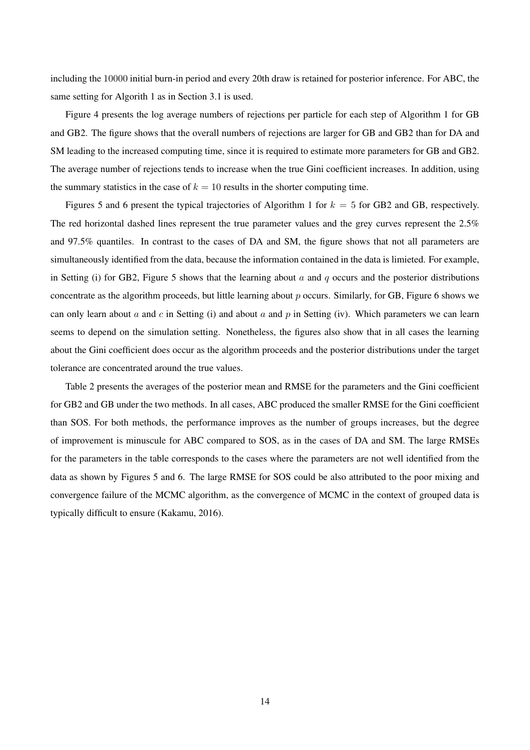including the 10000 initial burn-in period and every 20th draw is retained for posterior inference. For ABC, the same setting for Algorith 1 as in Section 3.1 is used.

Figure 4 presents the log average numbers of rejections per particle for each step of Algorithm 1 for GB and GB2. The figure shows that the overall numbers of rejections are larger for GB and GB2 than for DA and SM leading to the increased computing time, since it is required to estimate more parameters for GB and GB2. The average number of rejections tends to increase when the true Gini coefficient increases. In addition, using the summary statistics in the case of  $k = 10$  results in the shorter computing time.

Figures 5 and 6 present the typical trajectories of Algorithm 1 for  $k = 5$  for GB2 and GB, respectively. The red horizontal dashed lines represent the true parameter values and the grey curves represent the 2.5% and 97.5% quantiles. In contrast to the cases of DA and SM, the figure shows that not all parameters are simultaneously identified from the data, because the information contained in the data is limieted. For example, in Setting (i) for GB2, Figure 5 shows that the learning about  $a$  and  $q$  occurs and the posterior distributions concentrate as the algorithm proceeds, but little learning about  $p$  occurs. Similarly, for GB, Figure 6 shows we can only learn about a and c in Setting (i) and about a and p in Setting (iv). Which parameters we can learn seems to depend on the simulation setting. Nonetheless, the figures also show that in all cases the learning about the Gini coefficient does occur as the algorithm proceeds and the posterior distributions under the target tolerance are concentrated around the true values.

Table 2 presents the averages of the posterior mean and RMSE for the parameters and the Gini coefficient for GB2 and GB under the two methods. In all cases, ABC produced the smaller RMSE for the Gini coefficient than SOS. For both methods, the performance improves as the number of groups increases, but the degree of improvement is minuscule for ABC compared to SOS, as in the cases of DA and SM. The large RMSEs for the parameters in the table corresponds to the cases where the parameters are not well identified from the data as shown by Figures 5 and 6. The large RMSE for SOS could be also attributed to the poor mixing and convergence failure of the MCMC algorithm, as the convergence of MCMC in the context of grouped data is typically difficult to ensure (Kakamu, 2016).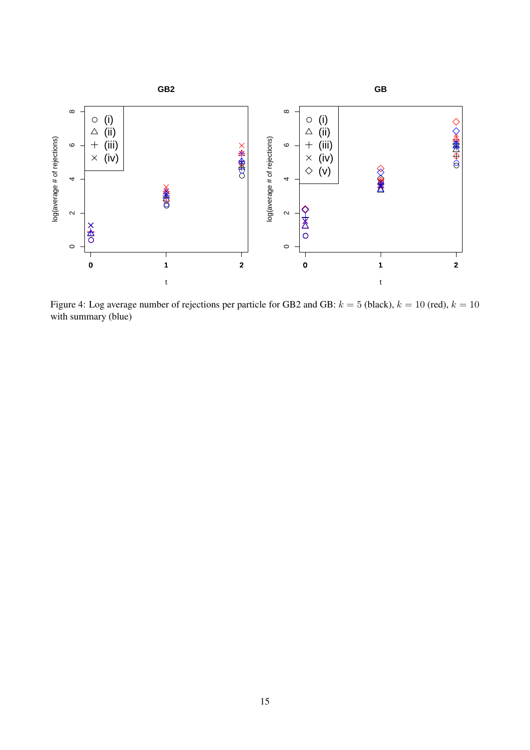

Figure 4: Log average number of rejections per particle for GB2 and GB:  $k = 5$  (black),  $k = 10$  (red),  $k = 10$ with summary (blue)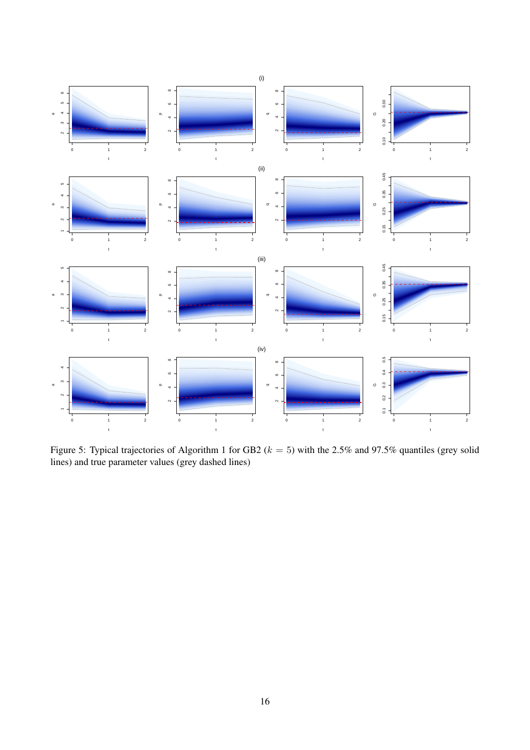

Figure 5: Typical trajectories of Algorithm 1 for GB2 ( $k = 5$ ) with the 2.5% and 97.5% quantiles (grey solid lines) and true parameter values (grey dashed lines)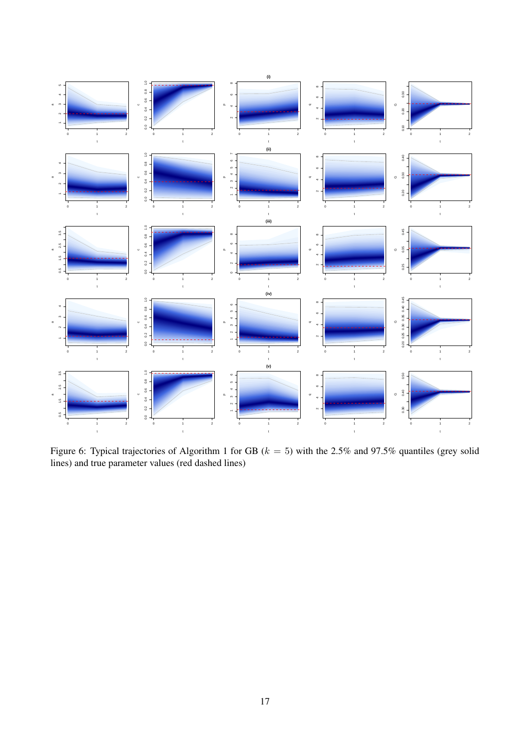

Figure 6: Typical trajectories of Algorithm 1 for GB ( $k = 5$ ) with the 2.5% and 97.5% quantiles (grey solid lines) and true parameter values (red dashed lines)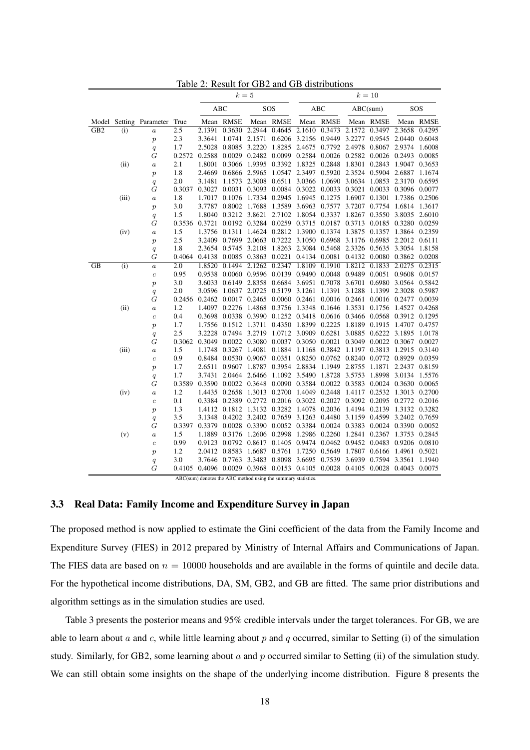|                 |       |                              |                  |        |                                                  | $k=5$         |           | $k=10$                                       |                      |                             |           |                                                                       |               |  |
|-----------------|-------|------------------------------|------------------|--------|--------------------------------------------------|---------------|-----------|----------------------------------------------|----------------------|-----------------------------|-----------|-----------------------------------------------------------------------|---------------|--|
|                 |       |                              |                  | ABC    |                                                  | SOS           |           | ABC                                          |                      | ABC(sum)                    |           |                                                                       | SOS           |  |
|                 |       | Model Setting Parameter True |                  |        | Mean RMSE                                        |               | Mean RMSE |                                              | Mean RMSE            |                             | Mean RMSE |                                                                       | Mean RMSE     |  |
| GB2             | (i)   | $\overline{a}$               | 2.5              |        | 2.1391 0.3630                                    | 2.2944        | 0.4645    |                                              |                      | 2.1610 0.3473 2.1572 0.3497 |           |                                                                       | 2.3658 0.4295 |  |
|                 |       | $\overline{p}$               | 2.3              | 3.3641 | 1.0741                                           | 2.1571        |           | 0.6206 3.2156 0.9449                         |                      | 3.2277                      | 0.9545    |                                                                       | 2.0440 0.6048 |  |
|                 |       | $\overline{q}$               | 1.7              | 2.5028 | 0.8085                                           | 3.2220        |           | 1.8285 2.4675 0.7792 2.4978 0.8067           |                      |                             |           | 2.9374                                                                | 1.6008        |  |
|                 |       | G                            | 0.2572           | 0.2588 | 0.0029                                           |               |           | 0.2482 0.0099 0.2584 0.0026 0.2582 0.0026    |                      |                             |           | 0.2493 0.0085                                                         |               |  |
|                 | (ii)  | $\boldsymbol{a}$             | 2.1              | 1.8001 | 0.3066                                           | 1.9395        |           | 0.3392 1.8325 0.2848                         |                      | 1.8301                      | 0.2843    | 1.9047                                                                | 0.3653        |  |
|                 |       | $\overline{p}$               | 1.8              | 2.4669 | 0.6866 2.5965                                    |               |           | 1.0547 2.3497 0.5920 2.3524 0.5904           |                      |                             |           | 2.6887                                                                | 1.1674        |  |
|                 |       | $\overline{q}$               | 2.0              | 3.1481 | 1.1573                                           | 2.3008        | 0.6511    |                                              | 3.0366 1.0690        | 3.0634                      | 1.0853    | 2.3170                                                                | 0.6595        |  |
|                 |       | G                            | 0.3037           | 0.3027 | 0.0031                                           | 0.3093        |           | $0.0084 \> \ 0.3022 \> \ 0.0033 \> \ 0.3021$ |                      |                             | 0.0033    | 0.3096 0.0077                                                         |               |  |
|                 | (iii) | $\boldsymbol{a}$             | 1.8              | 1.7017 | 0.1076                                           | 1.7334        | 0.2945    | 1.6945 0.1275                                |                      | 1.6907 0.1301               |           | 1.7386 0.2506                                                         |               |  |
|                 |       | $\boldsymbol{p}$             | 3.0              | 3.7787 | 0.8002                                           | 1.7688        | 1.3589    |                                              | 3.6963 0.7577        | 3.7207                      | 0.7754    | 1.6814                                                                | 1.3617        |  |
|                 |       | q                            | 1.5              | 1.8040 | 0.3212 3.8621                                    |               |           | 2.7102 1.8054 0.3337                         |                      | 1.8267 0.3550               |           |                                                                       | 3.8035 2.6010 |  |
|                 |       | G                            | 0.3536           | 0.3721 |                                                  | 0.0192 0.3284 |           | 0.0259 0.3715 0.0187                         |                      | 0.3713 0.0185               |           | 0.3280 0.0259                                                         |               |  |
|                 | (iv)  | $\boldsymbol{a}$             | 1.5              |        | 1.3756 0.1311                                    | 1.4624        |           | 0.2812 1.3900 0.1374                         |                      | 1.3875                      | 0.1357    | 1.3864 0.2359                                                         |               |  |
|                 |       | $\boldsymbol{p}$             | 2.5              |        | 3.2409 0.7699 2.0663                             |               |           | 0.7222 3.1050 0.6968 3.1176 0.6985           |                      |                             |           | 2.2012 0.6111                                                         |               |  |
|                 |       | q                            | 1.8              |        | 2.3654 0.5745 3.2108                             |               |           |                                              |                      |                             |           | 1.8263 2.3084 0.5468 2.3326 0.5635 3.3054 1.8158                      |               |  |
|                 |       | G                            | 0.4064           |        | 0.4138 0.0085 0.3863                             |               | 0.0221    |                                              |                      | 0.4134 0.0081 0.4132 0.0080 |           | 0.3862 0.0208                                                         |               |  |
| $\overline{GB}$ | (i)   | $\overline{a}$               | $\overline{2.0}$ | 1.8520 | 0.1494                                           | 2.1262        | 0.2347    | 1.8109 0.1910                                |                      | 1.8212                      | 0.1833    | 2.0275                                                                | 0.2315        |  |
|                 |       | $\boldsymbol{c}$             | 0.95             | 0.9538 |                                                  | 0.0060 0.9596 |           | 0.0139 0.9490 0.0048 0.9489                  |                      |                             | 0.0051    | 0.9608 0.0157                                                         |               |  |
|                 |       | $\boldsymbol{p}$             | 3.0              | 3.6033 | 0.6149 2.8358                                    |               |           | 0.6684 3.6951 0.7078 3.6701                  |                      |                             | 0.6980    | 3.0564                                                                | 0.5842        |  |
|                 |       | $\overline{q}$               | 2.0              | 3.0596 | 1.0637 2.0725                                    |               |           | 0.5179 3.1261                                | 1.1391 3.1288        |                             | 1.1399    | 2.3028 0.5987                                                         |               |  |
|                 |       | G                            | 0.2456           | 0.2462 | 0.0017                                           | 0.2465        |           | 0.0060 0.2461 0.0016 0.2461                  |                      |                             | 0.0016    | 0.2477                                                                | 0.0039        |  |
|                 | (ii)  | $\boldsymbol{a}$             | 1.2              |        | 1.4097 0.2276 1.4868 0.3756 1.3348 0.1646 1.3531 |               |           |                                              |                      |                             | 0.1756    | 1.4527 0.4268                                                         |               |  |
|                 |       | $\boldsymbol{c}$             | 0.4              | 0.3698 | 0.0338                                           | 0.3990        |           | 0.1252 0.3418 0.0616 0.3466                  |                      |                             | 0.0568    | 0.3912 0.1295                                                         |               |  |
|                 |       | $\overline{p}$               | 1.7              | 1.7556 | 0.1512                                           | 1.3711        | 0.4350    | 1.8399 0.2225                                |                      | 1.8189                      | 0.1915    | 1.4707                                                                | 0.4757        |  |
|                 |       | $\overline{q}$               | 2.5              | 3.2228 | 0.7494                                           | 3.2719        |           | 1.0712 3.0909 0.6281                         |                      | 3.0885                      | 0.6222    | 3.1895                                                                | 1.0178        |  |
|                 |       | G                            | 0.3062           | 0.3049 | 0.0022                                           | 0.3080        |           | 0.0037 0.3050 0.0021 0.3049                  |                      |                             | 0.0022    | 0.3067                                                                | 0.0027        |  |
|                 | (iii) | $\boldsymbol{a}$             | 1.5              | 1.1748 | 0.3267                                           | 1.4081        |           | 0.1884 1.1168 0.3842                         |                      | 1.1197                      | 0.3813    | 1.2915                                                                | 0.3140        |  |
|                 |       | $\boldsymbol{c}$             | 0.9              | 0.8484 |                                                  | 0.0530 0.9067 |           | 0.0351 0.8250 0.0762 0.8240                  |                      |                             | 0.0772    | 0.8929 0.0359                                                         |               |  |
|                 |       | $\boldsymbol{p}$             | 1.7              | 2.6511 | 0.9607                                           | 1.8787        | 0.3954    |                                              | 2.8834 1.1949 2.8755 |                             | 1.1871    | 2.2437                                                                | 0.8159        |  |
|                 |       | q                            | 1.7              | 3.7431 | 2.0464                                           | 2.6466        |           | 1.1092 3.5490                                | 1.8728               | 3.5753                      | 1.8998    | 3.0134                                                                | 1.5576        |  |
|                 |       | G                            | 0.3589           |        | 0.3590 0.0022                                    | 0.3648        |           | 0.0090 0.3584 0.0022 0.3583                  |                      |                             | 0.0024    | 0.3630 0.0065                                                         |               |  |
|                 | (iv)  | $\boldsymbol{a}$             | 1.2              |        | 1.4435 0.2658                                    | 1.3013        | 0.2700    | 1.4049 0.2448                                |                      | 1.4117                      | 0.2532    | 1.3013 0.2700                                                         |               |  |
|                 |       | $\boldsymbol{c}$             | 0.1              |        |                                                  |               |           |                                              |                      |                             |           | 0.3384 0.2389 0.2772 0.2016 0.3022 0.2027 0.3092 0.2095 0.2772 0.2016 |               |  |
|                 |       | $\boldsymbol{p}$             | 1.3              |        |                                                  |               |           |                                              |                      |                             |           | 1.4112 0.1812 1.3132 0.3282 1.4078 0.2036 1.4194 0.2139 1.3132 0.3282 |               |  |
|                 |       | q                            | 3.5              |        | 3.1348 0.4202 3.2402 0.7659                      |               |           |                                              |                      | 3.1263 0.4480 3.1159 0.4599 |           | 3.2402 0.7659                                                         |               |  |
|                 |       | G                            | 0.3397           | 0.3379 |                                                  |               |           | 0.0028 0.3390 0.0052 0.3384 0.0024 0.3383    |                      |                             |           | 0.0024 0.3390 0.0052                                                  |               |  |
|                 | (v)   | $\boldsymbol{a}$             | 1.5              | 1.1889 | 0.3176                                           | 1.2606        | 0.2998    |                                              |                      | 1.2986 0.2260 1.2841        | 0.2367    | 1.3753 0.2845                                                         |               |  |
|                 |       | $\boldsymbol{c}$             | 0.99             |        | 0.9123 0.0792                                    | 0.8617        |           | 0.1405 0.9474 0.0462 0.9452                  |                      |                             | 0.0483    | 0.9206 0.0810                                                         |               |  |
|                 |       | $\overline{p}$               | 1.2              |        | 2.0412 0.8583                                    | 1.6687        |           | 0.5761 1.7250 0.5649 1.7807                  |                      |                             | 0.6166    | 1.4961 0.5021                                                         |               |  |
|                 |       | q                            | 3.0              | 3.7646 | 0.7763                                           | 3.3483        | 0.8098    |                                              | 3.6695 0.7539        | 3.6939                      | 0.7594    | 3.3561                                                                | 1.1940        |  |
|                 |       | G                            | 0.4105           |        |                                                  |               |           |                                              |                      |                             |           | 0.4096 0.0029 0.3968 0.0153 0.4105 0.0028 0.4105 0.0028 0.4043 0.0075 |               |  |

Table 2: Result for GB2 and GB distributions

ABC(sum) denotes the ABC method using the summary statistics.

## 3.3 Real Data: Family Income and Expenditure Survey in Japan

The proposed method is now applied to estimate the Gini coefficient of the data from the Family Income and Expenditure Survey (FIES) in 2012 prepared by Ministry of Internal Affairs and Communications of Japan. The FIES data are based on  $n = 10000$  households and are available in the forms of quintile and decile data. For the hypothetical income distributions, DA, SM, GB2, and GB are fitted. The same prior distributions and algorithm settings as in the simulation studies are used.

Table 3 presents the posterior means and 95% credible intervals under the target tolerances. For GB, we are able to learn about  $a$  and  $c$ , while little learning about  $p$  and  $q$  occurred, similar to Setting (i) of the simulation study. Similarly, for GB2, some learning about  $a$  and  $p$  occurred similar to Setting (ii) of the simulation study. We can still obtain some insights on the shape of the underlying income distribution. Figure 8 presents the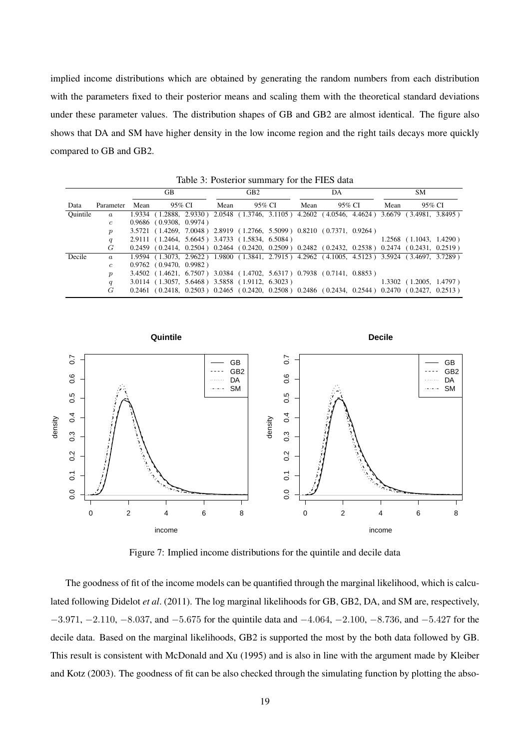implied income distributions which are obtained by generating the random numbers from each distribution with the parameters fixed to their posterior means and scaling them with the theoretical standard deviations under these parameter values. The distribution shapes of GB and GB2 are almost identical. The figure also shows that DA and SM have higher density in the low income region and the right tails decays more quickly compared to GB and GB2.

|          |                  | GВ   |                           |  |      | GB2                                                                                                                                 |  |      | DA     |  | SМ   |                           |  |
|----------|------------------|------|---------------------------|--|------|-------------------------------------------------------------------------------------------------------------------------------------|--|------|--------|--|------|---------------------------|--|
| Data     | Parameter        | Mean | 95% CI                    |  | Mean | 95% CI                                                                                                                              |  | Mean | 95% CI |  | Mean | 95% CI                    |  |
| Ouintile | $\boldsymbol{a}$ |      |                           |  |      | 1.9334 (1.2888, 2.9330) 2.0548 (1.3746, 3.1105) 4.2602 (4.0546, 4.4624) 3.6679 (3.4981, 3.8495)                                     |  |      |        |  |      |                           |  |
|          | $\epsilon$       |      | $0.9686$ (0.9308, 0.9974) |  |      |                                                                                                                                     |  |      |        |  |      |                           |  |
|          | $\boldsymbol{p}$ |      |                           |  |      | 3.5721 (1.4269, 7.0048) 2.8919 (1.2766, 5.5099) 0.8210 (0.7371, 0.9264)                                                             |  |      |        |  |      |                           |  |
|          | q                |      |                           |  |      | 2.9111 (1.2464, 5.6645) 3.4733 (1.5834, 6.5084)                                                                                     |  |      |        |  |      | $1.2568$ (1.1043, 1.4290) |  |
|          | G                |      |                           |  |      | $0.2459$ ( $0.2414$ , $0.2504$ ) $0.2464$ ( $0.2420$ , $0.2509$ ) $0.2482$ ( $0.2432$ , $0.2538$ ) $0.2474$ ( $0.2431$ , $0.2519$ ) |  |      |        |  |      |                           |  |
| Decile   | $\boldsymbol{a}$ |      |                           |  |      | 1.9594 (1.3073, 2.9622) 1.9800 (1.3841, 2.7915) 4.2962 (4.1005, 4.5123) 3.5924 (3.4697, 3.7289)                                     |  |      |        |  |      |                           |  |
|          | $\mathfrak{c}$   |      | $0.9762$ (0.9470, 0.9982) |  |      |                                                                                                                                     |  |      |        |  |      |                           |  |
|          | $\boldsymbol{p}$ |      |                           |  |      | 3.4502 (1.4621, 6.7507) 3.0384 (1.4702, 5.6317) 0.7938 (0.7141, 0.8853)                                                             |  |      |        |  |      |                           |  |
|          | q                |      |                           |  |      | 3.0114 (1.3057, 5.6468) 3.5858 (1.9112, 6.3023)                                                                                     |  |      |        |  |      | $1.3302$ (1.2005, 1.4797) |  |
|          | G                |      |                           |  |      | $0.2461$ ( $0.2418$ , $0.2503$ ) $0.2465$ ( $0.2420$ , $0.2508$ ) $0.2486$ ( $0.2434$ , $0.2544$ ) $0.2470$ ( $0.2427$ , $0.2513$ ) |  |      |        |  |      |                           |  |

Table 3: Posterior summary for the FIES data



Figure 7: Implied income distributions for the quintile and decile data

The goodness of fit of the income models can be quantified through the marginal likelihood, which is calculated following Didelot *et al*. (2011). The log marginal likelihoods for GB, GB2, DA, and SM are, respectively, −3.971, −2.110, −8.037, and −5.675 for the quintile data and −4.064, −2.100, −8.736, and −5.427 for the decile data. Based on the marginal likelihoods, GB2 is supported the most by the both data followed by GB. This result is consistent with McDonald and Xu (1995) and is also in line with the argument made by Kleiber and Kotz (2003). The goodness of fit can be also checked through the simulating function by plotting the abso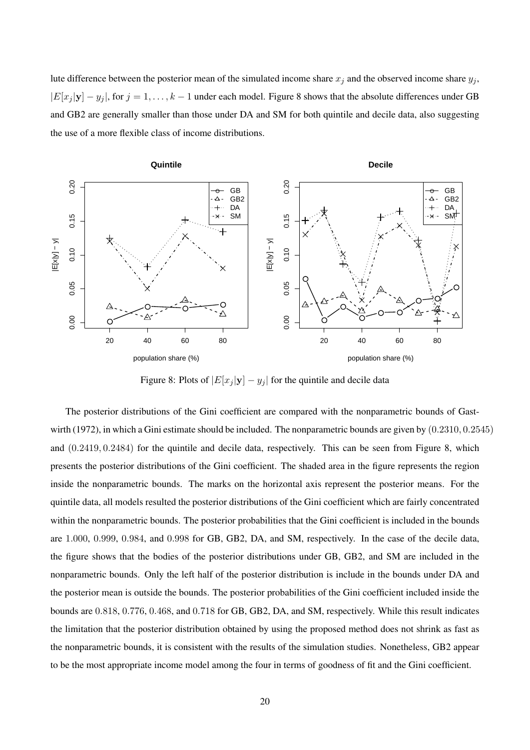lute difference between the posterior mean of the simulated income share  $x_j$  and the observed income share  $y_j$ ,  $|E[x_j |y] - y_j|$ , for  $j = 1, ..., k - 1$  under each model. Figure 8 shows that the absolute differences under GB and GB2 are generally smaller than those under DA and SM for both quintile and decile data, also suggesting the use of a more flexible class of income distributions.



Figure 8: Plots of  $|E[x_j|\mathbf{y}] - y_j|$  for the quintile and decile data

The posterior distributions of the Gini coefficient are compared with the nonparametric bounds of Gastwirth (1972), in which a Gini estimate should be included. The nonparametric bounds are given by (0.2310, 0.2545) and (0.2419, 0.2484) for the quintile and decile data, respectively. This can be seen from Figure 8, which presents the posterior distributions of the Gini coefficient. The shaded area in the figure represents the region inside the nonparametric bounds. The marks on the horizontal axis represent the posterior means. For the quintile data, all models resulted the posterior distributions of the Gini coefficient which are fairly concentrated within the nonparametric bounds. The posterior probabilities that the Gini coefficient is included in the bounds are 1.000, 0.999, 0.984, and 0.998 for GB, GB2, DA, and SM, respectively. In the case of the decile data, the figure shows that the bodies of the posterior distributions under GB, GB2, and SM are included in the nonparametric bounds. Only the left half of the posterior distribution is include in the bounds under DA and the posterior mean is outside the bounds. The posterior probabilities of the Gini coefficient included inside the bounds are 0.818, 0.776, 0.468, and 0.718 for GB, GB2, DA, and SM, respectively. While this result indicates the limitation that the posterior distribution obtained by using the proposed method does not shrink as fast as the nonparametric bounds, it is consistent with the results of the simulation studies. Nonetheless, GB2 appear to be the most appropriate income model among the four in terms of goodness of fit and the Gini coefficient.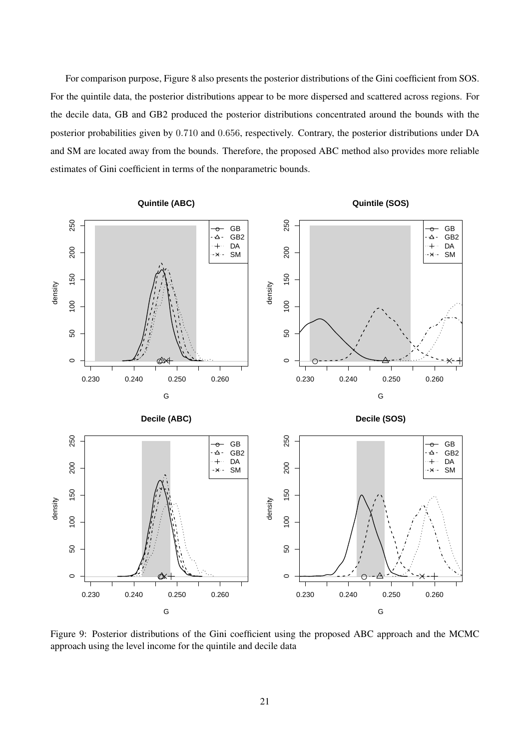For comparison purpose, Figure 8 also presents the posterior distributions of the Gini coefficient from SOS. For the quintile data, the posterior distributions appear to be more dispersed and scattered across regions. For the decile data, GB and GB2 produced the posterior distributions concentrated around the bounds with the posterior probabilities given by 0.710 and 0.656, respectively. Contrary, the posterior distributions under DA and SM are located away from the bounds. Therefore, the proposed ABC method also provides more reliable estimates of Gini coefficient in terms of the nonparametric bounds.

250 250 50 100 150 200 250 50 100 150 200 250 ● GB ● GB  $\Delta$  -GB2  $\Delta$  -GB2  $+$ DA  $+$ DA 200 200  $-x$ SM  $\cdot$   $\times$ SM 150 150 density density  $\overline{100}$ 100 SO, 50  $\circ$ ●  $\circ$ ● 0.230 0.240 0.250 0.260 0.230 0.240 0.250 0.260 G G **Decile (ABC) Decile (SOS)** 250 250 50 100 150 200 250 50 100 150 200 250 <del>o</del> GB<br>△- GB  $\rightarrow$  GB<br> $\rightarrow$  GB GB2 GB2  $+$ DA DA  $+$ . 200 200 SM SM  $\times$  $\star$  -150 150 density density 100  $100$ 50 50  $\alpha$  $\circ$  $\circ$ Λ  $\subset$ 0.230 0.240 0.250 0.260 0.230 0.240 0.250 0.260 G G



**Quintile (ABC)**

**Quintile (SOS)**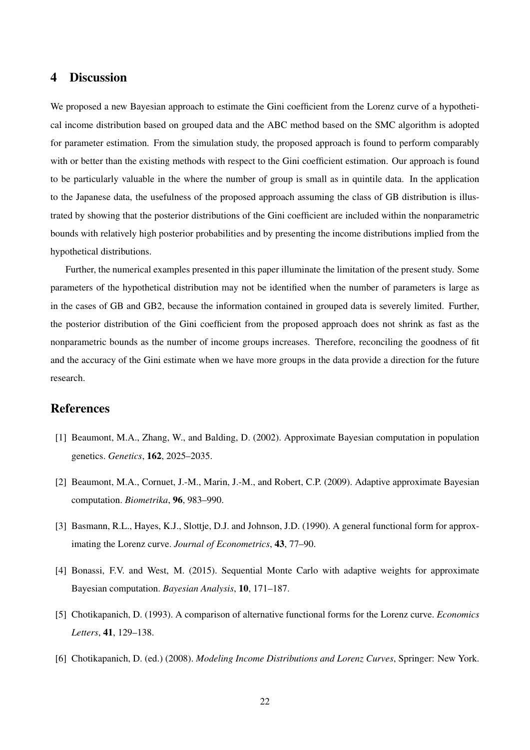## 4 Discussion

We proposed a new Bayesian approach to estimate the Gini coefficient from the Lorenz curve of a hypothetical income distribution based on grouped data and the ABC method based on the SMC algorithm is adopted for parameter estimation. From the simulation study, the proposed approach is found to perform comparably with or better than the existing methods with respect to the Gini coefficient estimation. Our approach is found to be particularly valuable in the where the number of group is small as in quintile data. In the application to the Japanese data, the usefulness of the proposed approach assuming the class of GB distribution is illustrated by showing that the posterior distributions of the Gini coefficient are included within the nonparametric bounds with relatively high posterior probabilities and by presenting the income distributions implied from the hypothetical distributions.

Further, the numerical examples presented in this paper illuminate the limitation of the present study. Some parameters of the hypothetical distribution may not be identified when the number of parameters is large as in the cases of GB and GB2, because the information contained in grouped data is severely limited. Further, the posterior distribution of the Gini coefficient from the proposed approach does not shrink as fast as the nonparametric bounds as the number of income groups increases. Therefore, reconciling the goodness of fit and the accuracy of the Gini estimate when we have more groups in the data provide a direction for the future research.

# References

- [1] Beaumont, M.A., Zhang, W., and Balding, D. (2002). Approximate Bayesian computation in population genetics. *Genetics*, 162, 2025–2035.
- [2] Beaumont, M.A., Cornuet, J.-M., Marin, J.-M., and Robert, C.P. (2009). Adaptive approximate Bayesian computation. *Biometrika*, 96, 983–990.
- [3] Basmann, R.L., Hayes, K.J., Slottje, D.J. and Johnson, J.D. (1990). A general functional form for approximating the Lorenz curve. *Journal of Econometrics*, 43, 77–90.
- [4] Bonassi, F.V. and West, M. (2015). Sequential Monte Carlo with adaptive weights for approximate Bayesian computation. *Bayesian Analysis*, 10, 171–187.
- [5] Chotikapanich, D. (1993). A comparison of alternative functional forms for the Lorenz curve. *Economics Letters*, 41, 129–138.
- [6] Chotikapanich, D. (ed.) (2008). *Modeling Income Distributions and Lorenz Curves*, Springer: New York.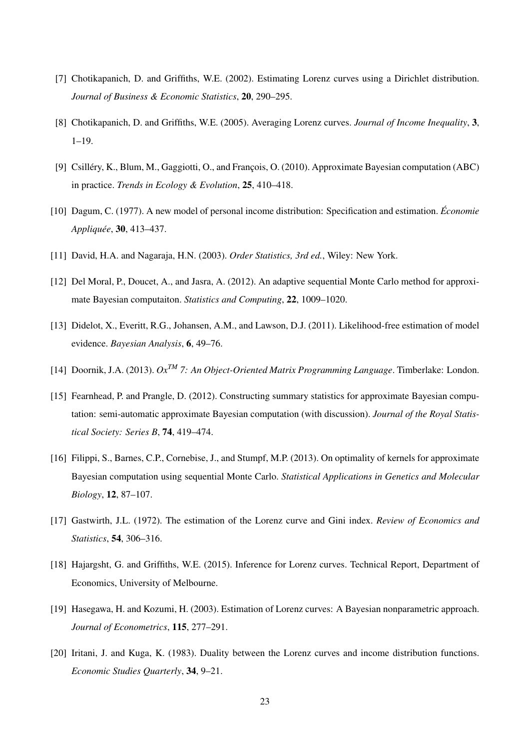- [7] Chotikapanich, D. and Griffiths, W.E. (2002). Estimating Lorenz curves using a Dirichlet distribution. *Journal of Business & Economic Statistics*, 20, 290–295.
- [8] Chotikapanich, D. and Griffiths, W.E. (2005). Averaging Lorenz curves. *Journal of Income Inequality*, 3, 1–19.
- [9] Csilléry, K., Blum, M., Gaggiotti, O., and François, O. (2010). Approximate Bayesian computation (ABC) in practice. *Trends in Ecology & Evolution*, 25, 410–418.
- [10] Dagum, C. (1977). A new model of personal income distribution: Specification and estimation. *Economie ´ Appliquee´* , 30, 413–437.
- [11] David, H.A. and Nagaraja, H.N. (2003). *Order Statistics, 3rd ed.*, Wiley: New York.
- [12] Del Moral, P., Doucet, A., and Jasra, A. (2012). An adaptive sequential Monte Carlo method for approximate Bayesian computaiton. *Statistics and Computing*, 22, 1009–1020.
- [13] Didelot, X., Everitt, R.G., Johansen, A.M., and Lawson, D.J. (2011). Likelihood-free estimation of model evidence. *Bayesian Analysis*, 6, 49–76.
- [14] Doornik, J.A. (2013). *OxTM 7: An Object-Oriented Matrix Programming Language*. Timberlake: London.
- [15] Fearnhead, P. and Prangle, D. (2012). Constructing summary statistics for approximate Bayesian computation: semi-automatic approximate Bayesian computation (with discussion). *Journal of the Royal Statistical Society: Series B*, 74, 419–474.
- [16] Filippi, S., Barnes, C.P., Cornebise, J., and Stumpf, M.P. (2013). On optimality of kernels for approximate Bayesian computation using sequential Monte Carlo. *Statistical Applications in Genetics and Molecular Biology*, 12, 87–107.
- [17] Gastwirth, J.L. (1972). The estimation of the Lorenz curve and Gini index. *Review of Economics and Statistics*, 54, 306–316.
- [18] Hajargsht, G. and Griffiths, W.E. (2015). Inference for Lorenz curves. Technical Report, Department of Economics, University of Melbourne.
- [19] Hasegawa, H. and Kozumi, H. (2003). Estimation of Lorenz curves: A Bayesian nonparametric approach. *Journal of Econometrics*, 115, 277–291.
- [20] Iritani, J. and Kuga, K. (1983). Duality between the Lorenz curves and income distribution functions. *Economic Studies Quarterly*, 34, 9–21.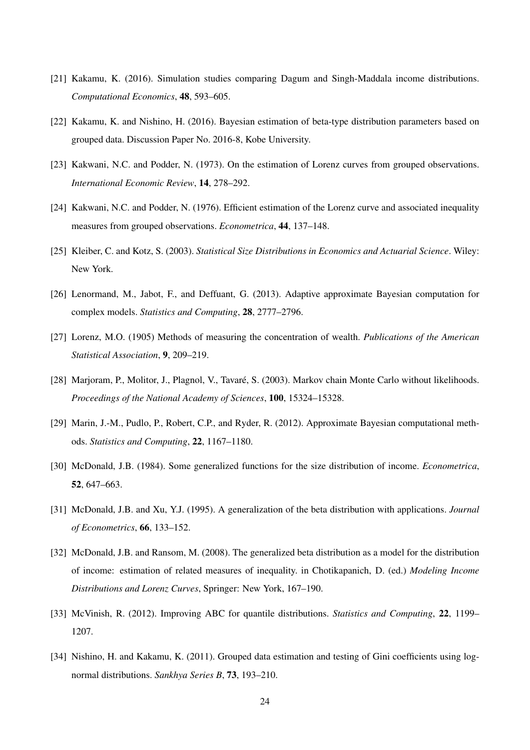- [21] Kakamu, K. (2016). Simulation studies comparing Dagum and Singh-Maddala income distributions. *Computational Economics*, 48, 593–605.
- [22] Kakamu, K. and Nishino, H. (2016). Bayesian estimation of beta-type distribution parameters based on grouped data. Discussion Paper No. 2016-8, Kobe University.
- [23] Kakwani, N.C. and Podder, N. (1973). On the estimation of Lorenz curves from grouped observations. *International Economic Review*, 14, 278–292.
- [24] Kakwani, N.C. and Podder, N. (1976). Efficient estimation of the Lorenz curve and associated inequality measures from grouped observations. *Econometrica*, 44, 137–148.
- [25] Kleiber, C. and Kotz, S. (2003). *Statistical Size Distributions in Economics and Actuarial Science*. Wiley: New York.
- [26] Lenormand, M., Jabot, F., and Deffuant, G. (2013). Adaptive approximate Bayesian computation for complex models. *Statistics and Computing*, 28, 2777–2796.
- [27] Lorenz, M.O. (1905) Methods of measuring the concentration of wealth. *Publications of the American Statistical Association*, 9, 209–219.
- [28] Marjoram, P., Molitor, J., Plagnol, V., Tavare, S. (2003). Markov chain Monte Carlo without likelihoods. ´ *Proceedings of the National Academy of Sciences*, 100, 15324–15328.
- [29] Marin, J.-M., Pudlo, P., Robert, C.P., and Ryder, R. (2012). Approximate Bayesian computational methods. *Statistics and Computing*, 22, 1167–1180.
- [30] McDonald, J.B. (1984). Some generalized functions for the size distribution of income. *Econometrica*, 52, 647–663.
- [31] McDonald, J.B. and Xu, Y.J. (1995). A generalization of the beta distribution with applications. *Journal of Econometrics*, 66, 133–152.
- [32] McDonald, J.B. and Ransom, M. (2008). The generalized beta distribution as a model for the distribution of income: estimation of related measures of inequality. in Chotikapanich, D. (ed.) *Modeling Income Distributions and Lorenz Curves*, Springer: New York, 167–190.
- [33] McVinish, R. (2012). Improving ABC for quantile distributions. *Statistics and Computing*, 22, 1199– 1207.
- [34] Nishino, H. and Kakamu, K. (2011). Grouped data estimation and testing of Gini coefficients using lognormal distributions. *Sankhya Series B*, 73, 193–210.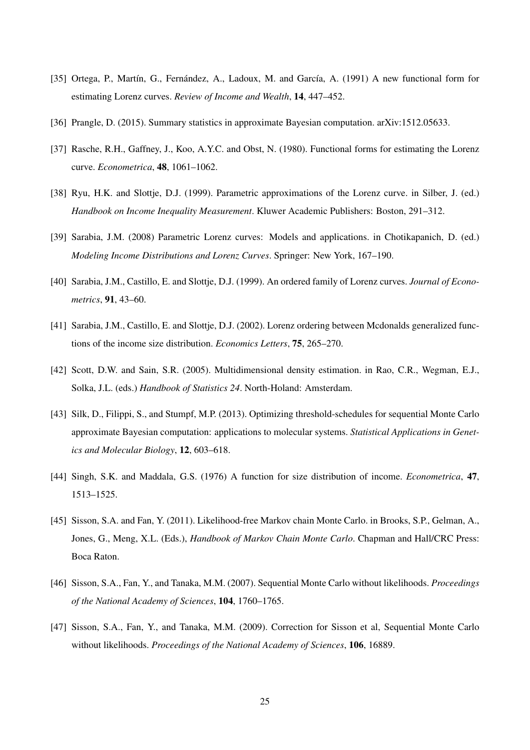- [35] Ortega, P., Martín, G., Fernández, A., Ladoux, M. and García, A. (1991) A new functional form for estimating Lorenz curves. *Review of Income and Wealth*, 14, 447–452.
- [36] Prangle, D. (2015). Summary statistics in approximate Bayesian computation. arXiv:1512.05633.
- [37] Rasche, R.H., Gaffney, J., Koo, A.Y.C. and Obst, N. (1980). Functional forms for estimating the Lorenz curve. *Econometrica*, 48, 1061–1062.
- [38] Ryu, H.K. and Slottje, D.J. (1999). Parametric approximations of the Lorenz curve. in Silber, J. (ed.) *Handbook on Income Inequality Measurement*. Kluwer Academic Publishers: Boston, 291–312.
- [39] Sarabia, J.M. (2008) Parametric Lorenz curves: Models and applications. in Chotikapanich, D. (ed.) *Modeling Income Distributions and Lorenz Curves*. Springer: New York, 167–190.
- [40] Sarabia, J.M., Castillo, E. and Slottje, D.J. (1999). An ordered family of Lorenz curves. *Journal of Econometrics*, 91, 43–60.
- [41] Sarabia, J.M., Castillo, E. and Slottje, D.J. (2002). Lorenz ordering between Mcdonalds generalized functions of the income size distribution. *Economics Letters*, 75, 265–270.
- [42] Scott, D.W. and Sain, S.R. (2005). Multidimensional density estimation. in Rao, C.R., Wegman, E.J., Solka, J.L. (eds.) *Handbook of Statistics 24*. North-Holand: Amsterdam.
- [43] Silk, D., Filippi, S., and Stumpf, M.P. (2013). Optimizing threshold-schedules for sequential Monte Carlo approximate Bayesian computation: applications to molecular systems. *Statistical Applications in Genetics and Molecular Biology*, 12, 603–618.
- [44] Singh, S.K. and Maddala, G.S. (1976) A function for size distribution of income. *Econometrica*, 47, 1513–1525.
- [45] Sisson, S.A. and Fan, Y. (2011). Likelihood-free Markov chain Monte Carlo. in Brooks, S.P., Gelman, A., Jones, G., Meng, X.L. (Eds.), *Handbook of Markov Chain Monte Carlo*. Chapman and Hall/CRC Press: Boca Raton.
- [46] Sisson, S.A., Fan, Y., and Tanaka, M.M. (2007). Sequential Monte Carlo without likelihoods. *Proceedings of the National Academy of Sciences*, 104, 1760–1765.
- [47] Sisson, S.A., Fan, Y., and Tanaka, M.M. (2009). Correction for Sisson et al, Sequential Monte Carlo without likelihoods. *Proceedings of the National Academy of Sciences*, 106, 16889.